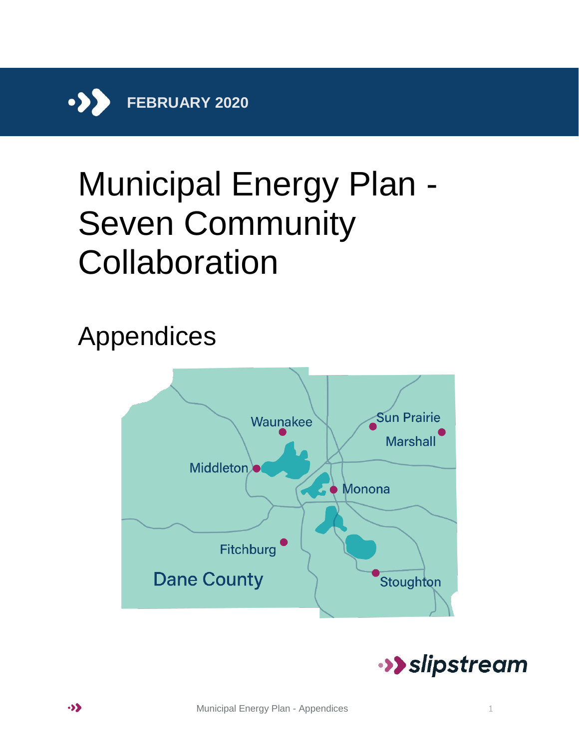

# Municipal Energy Plan - Seven Community Collaboration

# Appendices



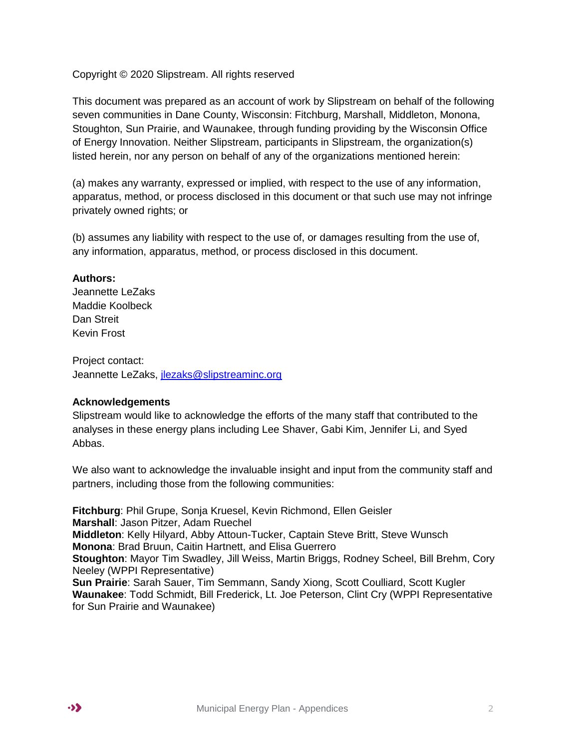Copyright © 2020 Slipstream. All rights reserved

This document was prepared as an account of work by Slipstream on behalf of the following seven communities in Dane County, Wisconsin: Fitchburg, Marshall, Middleton, Monona, Stoughton, Sun Prairie, and Waunakee, through funding providing by the Wisconsin Office of Energy Innovation. Neither Slipstream, participants in Slipstream, the organization(s) listed herein, nor any person on behalf of any of the organizations mentioned herein:

(a) makes any warranty, expressed or implied, with respect to the use of any information, apparatus, method, or process disclosed in this document or that such use may not infringe privately owned rights; or

(b) assumes any liability with respect to the use of, or damages resulting from the use of, any information, apparatus, method, or process disclosed in this document.

#### **Authors:**

Jeannette LeZaks Maddie Koolbeck Dan Streit Kevin Frost

Project contact: Jeannette LeZaks, [jlezaks@slipstreaminc.org](mailto:jlezaks@slipstreaminc.org)

#### **Acknowledgements**

Slipstream would like to acknowledge the efforts of the many staff that contributed to the analyses in these energy plans including Lee Shaver, Gabi Kim, Jennifer Li, and Syed Abbas.

We also want to acknowledge the invaluable insight and input from the community staff and partners, including those from the following communities:

**Fitchburg**: Phil Grupe, Sonja Kruesel, Kevin Richmond, Ellen Geisler **Marshall**: Jason Pitzer, Adam Ruechel **Middleton**: Kelly Hilyard, Abby Attoun-Tucker, Captain Steve Britt, Steve Wunsch **Monona**: Brad Bruun, Caitin Hartnett, and Elisa Guerrero **Stoughton**: Mayor Tim Swadley, Jill Weiss, Martin Briggs, Rodney Scheel, Bill Brehm, Cory Neeley (WPPI Representative) **Sun Prairie**: Sarah Sauer, Tim Semmann, Sandy Xiong, Scott Coulliard, Scott Kugler **Waunakee**: Todd Schmidt, Bill Frederick, Lt. Joe Peterson, Clint Cry (WPPI Representative for Sun Prairie and Waunakee)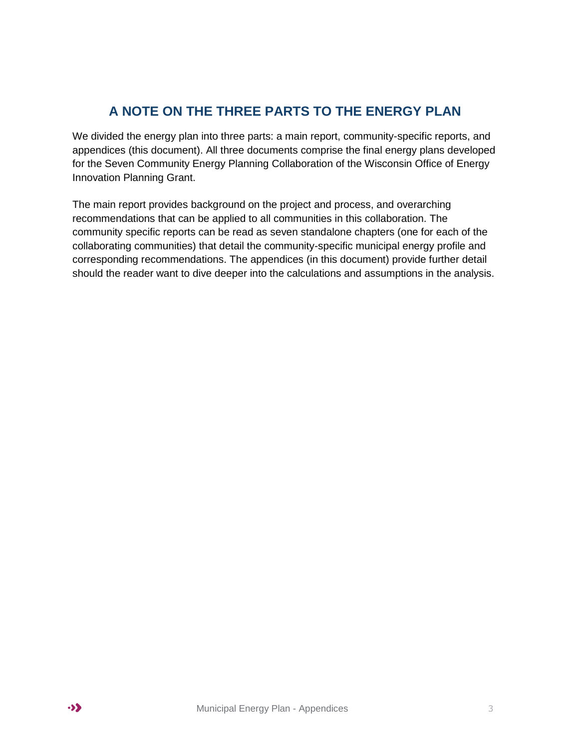# **A NOTE ON THE THREE PARTS TO THE ENERGY PLAN**

We divided the energy plan into three parts: a main report, community-specific reports, and appendices (this document). All three documents comprise the final energy plans developed for the Seven Community Energy Planning Collaboration of the Wisconsin Office of Energy Innovation Planning Grant.

The main report provides background on the project and process, and overarching recommendations that can be applied to all communities in this collaboration. The community specific reports can be read as seven standalone chapters (one for each of the collaborating communities) that detail the community-specific municipal energy profile and corresponding recommendations. The appendices (in this document) provide further detail should the reader want to dive deeper into the calculations and assumptions in the analysis.

 $\bullet$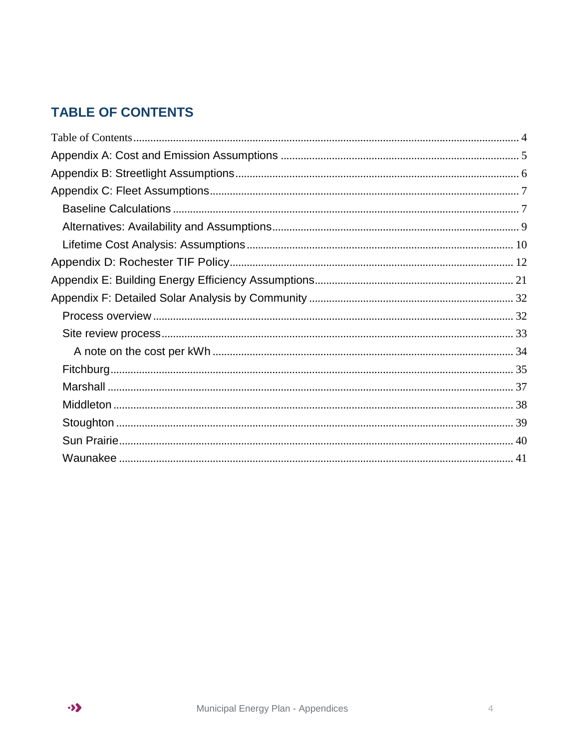# <span id="page-3-0"></span>**TABLE OF CONTENTS**

 $\bullet$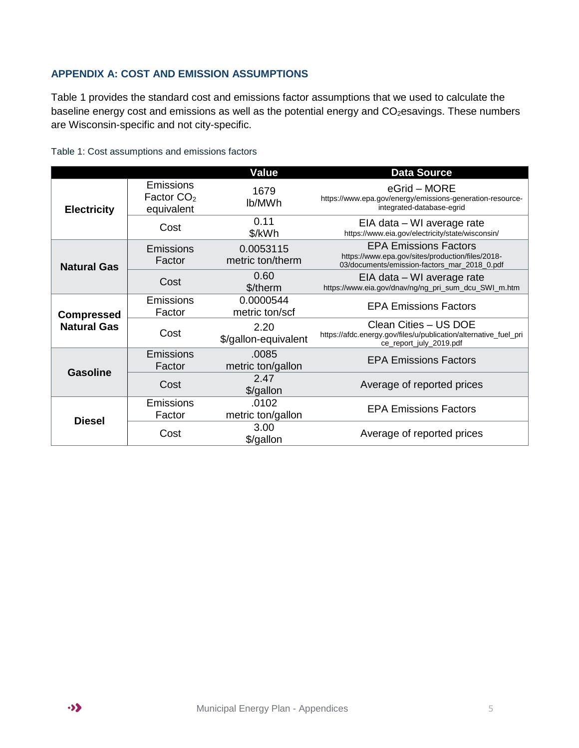#### <span id="page-4-0"></span>**APPENDIX A: COST AND EMISSION ASSUMPTIONS**

[Table 1](#page-4-1) provides the standard cost and emissions factor assumptions that we used to calculate the baseline energy cost and emissions as well as the potential energy and CO<sub>2</sub>esavings. These numbers are Wisconsin-specific and not city-specific.

|                                         |                                                | <b>Value</b>                  | <b>Data Source</b>                                                                                                               |
|-----------------------------------------|------------------------------------------------|-------------------------------|----------------------------------------------------------------------------------------------------------------------------------|
| <b>Electricity</b>                      | <b>Emissions</b><br>Factor $CO2$<br>equivalent | 1679<br>lb/MWh                | eGrid – MORE<br>https://www.epa.gov/energy/emissions-generation-resource-<br>integrated-database-egrid                           |
|                                         | Cost                                           | 0.11<br>\$/kWh                | EIA data - WI average rate<br>https://www.eia.gov/electricity/state/wisconsin/                                                   |
| <b>Natural Gas</b>                      | <b>Emissions</b><br>Factor                     | 0.0053115<br>metric ton/therm | <b>EPA Emissions Factors</b><br>https://www.epa.gov/sites/production/files/2018-<br>03/documents/emission-factors_mar_2018_0.pdf |
|                                         | Cost                                           | 0.60<br>\$/therm              | EIA data – WI average rate<br>https://www.eia.gov/dnav/ng/ng_pri_sum_dcu_SWI_m.htm                                               |
| <b>Compressed</b><br><b>Natural Gas</b> | <b>Emissions</b><br>Factor                     | 0.0000544<br>metric ton/scf   | <b>EPA Emissions Factors</b>                                                                                                     |
|                                         | Cost                                           | 2.20<br>\$/gallon-equivalent  | Clean Cities - US DOE<br>https://afdc.energy.gov/files/u/publication/alternative_fuel_pri<br>ce_report_july_2019.pdf             |
| <b>Gasoline</b>                         | <b>Emissions</b><br>Factor                     | .0085<br>metric ton/gallon    | <b>EPA Emissions Factors</b>                                                                                                     |
|                                         | Cost                                           | 2.47<br>\$/gallon             | Average of reported prices                                                                                                       |
|                                         | <b>Emissions</b><br>Factor                     | .0102<br>metric ton/gallon    | <b>EPA Emissions Factors</b>                                                                                                     |
| <b>Diesel</b>                           | Cost                                           | 3.00<br>\$/gallon             | Average of reported prices                                                                                                       |

<span id="page-4-1"></span>Table 1: Cost assumptions and emissions factors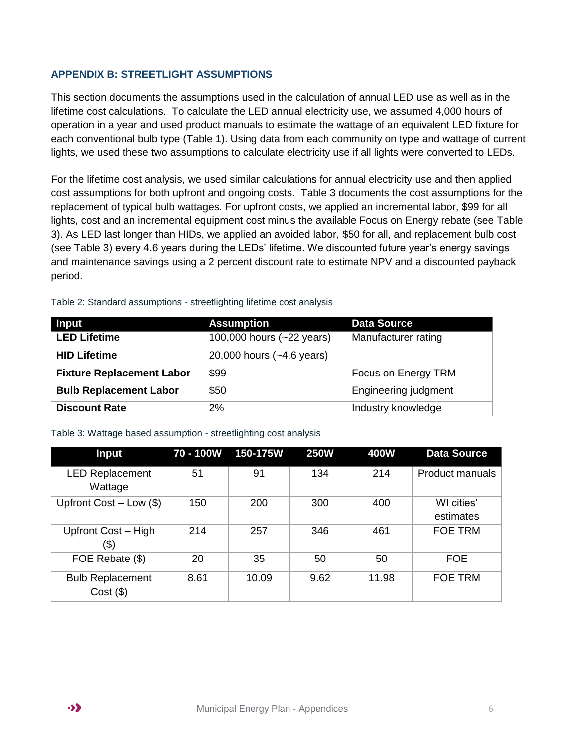#### <span id="page-5-0"></span>**APPENDIX B: STREETLIGHT ASSUMPTIONS**

This section documents the assumptions used in the calculation of annual LED use as well as in the lifetime cost calculations. To calculate the LED annual electricity use, we assumed 4,000 hours of operation in a year and used product manuals to estimate the wattage of an equivalent LED fixture for each conventional bulb type [\(Table 1\)](#page-4-1). Using data from each community on type and wattage of current lights, we used these two assumptions to calculate electricity use if all lights were converted to LEDs.

For the lifetime cost analysis, we used similar calculations for annual electricity use and then applied cost assumptions for both upfront and ongoing costs. [Table 3](#page-5-1) documents the cost assumptions for the replacement of typical bulb wattages. For upfront costs, we applied an incremental labor, \$99 for all lights, cost and an incremental equipment cost minus the available Focus on Energy rebate (see [Table](#page-5-1)  [3\)](#page-5-1). As LED last longer than HIDs, we applied an avoided labor, \$50 for all, and replacement bulb cost (see [Table 3\)](#page-5-1) every 4.6 years during the LEDs' lifetime. We discounted future year's energy savings and maintenance savings using a 2 percent discount rate to estimate NPV and a discounted payback period.

| Input                            | <b>Assumption</b>         | <b>Data Source</b>          |
|----------------------------------|---------------------------|-----------------------------|
| <b>LED Lifetime</b>              | 100,000 hours (~22 years) | Manufacturer rating         |
| <b>HID Lifetime</b>              | 20,000 hours (~4.6 years) |                             |
| <b>Fixture Replacement Labor</b> | \$99                      | Focus on Energy TRM         |
| <b>Bulb Replacement Labor</b>    | \$50                      | <b>Engineering judgment</b> |
| <b>Discount Rate</b>             | 2%                        | Industry knowledge          |

Table 2: Standard assumptions - streetlighting lifetime cost analysis

<span id="page-5-1"></span>

| Table 3: Wattage based assumption - streetlighting cost analysis |  |  |
|------------------------------------------------------------------|--|--|
|                                                                  |  |  |

| <b>Input</b>                           |      | 70 - 100W 150-175W | <b>250W</b> | 400W  | <b>Data Source</b>      |
|----------------------------------------|------|--------------------|-------------|-------|-------------------------|
| <b>LED Replacement</b><br>Wattage      | 51   | 91                 | 134         | 214   | <b>Product manuals</b>  |
| Upfront Cost $-$ Low $(\$)$            | 150  | 200                | 300         | 400   | WI cities'<br>estimates |
| Upfront Cost - High<br>(\$)            | 214  | 257                | 346         | 461   | <b>FOE TRM</b>          |
| FOE Rebate (\$)                        | 20   | 35                 | 50          | 50    | <b>FOE</b>              |
| <b>Bulb Replacement</b><br>$Cost($ \$) | 8.61 | 10.09              | 9.62        | 11.98 | <b>FOE TRM</b>          |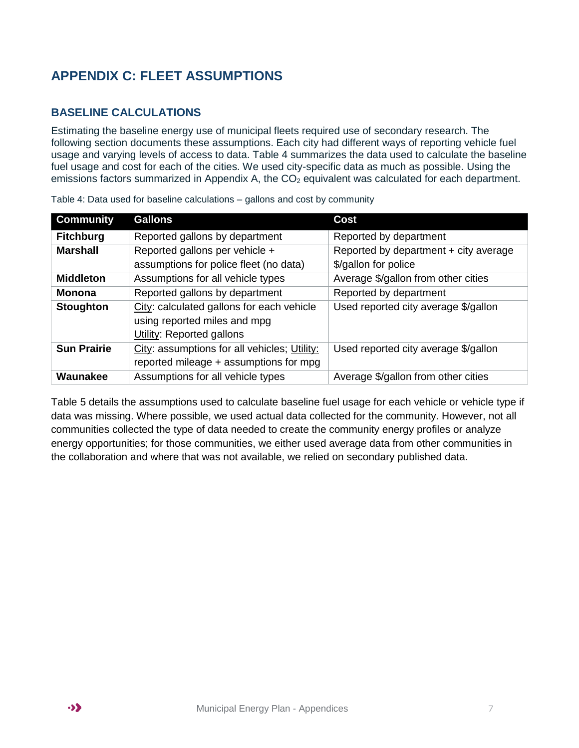# <span id="page-6-0"></span>**APPENDIX C: FLEET ASSUMPTIONS**

#### <span id="page-6-1"></span>**BASELINE CALCULATIONS**

Estimating the baseline energy use of municipal fleets required use of secondary research. The following section documents these assumptions. Each city had different ways of reporting vehicle fuel usage and varying levels of access to data. [Table 4](#page-6-2) summarizes the data used to calculate the baseline fuel usage and cost for each of the cities. We used city-specific data as much as possible. Using the emissions factors summarized in Appendix A, the  $CO<sub>2</sub>$  equivalent was calculated for each department.

| <b>Community</b>   | <b>Gallons</b>                               | <b>Cost</b>                           |
|--------------------|----------------------------------------------|---------------------------------------|
| <b>Fitchburg</b>   | Reported gallons by department               | Reported by department                |
| <b>Marshall</b>    | Reported gallons per vehicle +               | Reported by department + city average |
|                    | assumptions for police fleet (no data)       | \$/gallon for police                  |
| <b>Middleton</b>   | Assumptions for all vehicle types            | Average \$/gallon from other cities   |
| <b>Monona</b>      | Reported gallons by department               | Reported by department                |
| <b>Stoughton</b>   | City: calculated gallons for each vehicle    | Used reported city average \$/gallon  |
|                    | using reported miles and mpg                 |                                       |
|                    | <b>Utility: Reported gallons</b>             |                                       |
| <b>Sun Prairie</b> | City: assumptions for all vehicles; Utility: | Used reported city average \$/gallon  |
|                    | reported mileage + assumptions for mpg       |                                       |
| Waunakee           | Assumptions for all vehicle types            | Average \$/gallon from other cities   |

<span id="page-6-2"></span>Table 4: Data used for baseline calculations – gallons and cost by community

[Table 5](#page-7-0) details the assumptions used to calculate baseline fuel usage for each vehicle or vehicle type if data was missing. Where possible, we used actual data collected for the community. However, not all communities collected the type of data needed to create the community energy profiles or analyze energy opportunities; for those communities, we either used average data from other communities in the collaboration and where that was not available, we relied on secondary published data.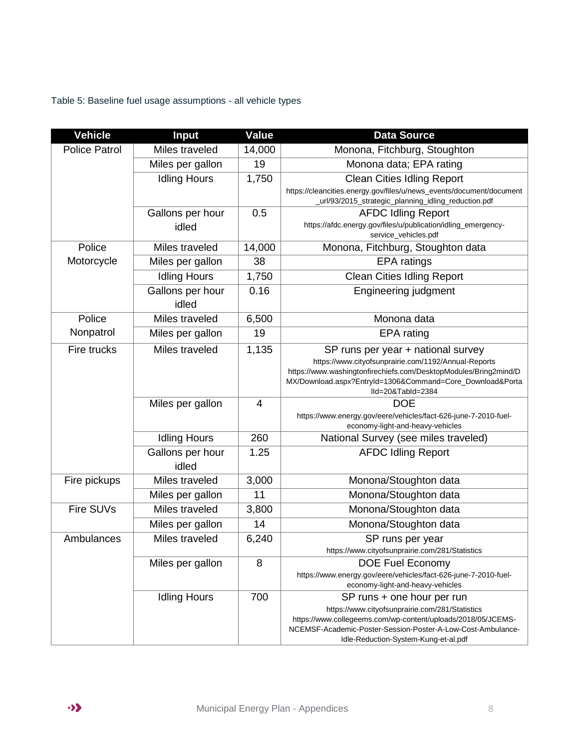<span id="page-7-0"></span>Table 5: Baseline fuel usage assumptions - all vehicle types

| <b>Vehicle</b>       | <b>Input</b>              | <b>Value</b> | <b>Data Source</b>                                                                                                            |
|----------------------|---------------------------|--------------|-------------------------------------------------------------------------------------------------------------------------------|
| <b>Police Patrol</b> | Miles traveled            | 14,000       | Monona, Fitchburg, Stoughton                                                                                                  |
|                      | Miles per gallon          | 19           | Monona data; EPA rating                                                                                                       |
|                      | <b>Idling Hours</b>       | 1,750        | <b>Clean Cities Idling Report</b>                                                                                             |
|                      |                           |              | https://cleancities.energy.gov/files/u/news_events/document/document<br>_url/93/2015_strategic_planning_idling_reduction.pdf  |
|                      | Gallons per hour          | 0.5          | <b>AFDC Idling Report</b>                                                                                                     |
|                      | idled                     |              | https://afdc.energy.gov/files/u/publication/idling_emergency-<br>service_vehicles.pdf                                         |
| Police               | Miles traveled            | 14,000       | Monona, Fitchburg, Stoughton data                                                                                             |
| Motorcycle           | Miles per gallon          | 38           | <b>EPA</b> ratings                                                                                                            |
|                      | <b>Idling Hours</b>       | 1,750        | <b>Clean Cities Idling Report</b>                                                                                             |
|                      | Gallons per hour<br>idled | 0.16         | <b>Engineering judgment</b>                                                                                                   |
| Police               | Miles traveled            | 6,500        | Monona data                                                                                                                   |
| Nonpatrol            | Miles per gallon          | 19           | EPA rating                                                                                                                    |
| Fire trucks          | Miles traveled            | 1,135        | SP runs per year + national survey                                                                                            |
|                      |                           |              | https://www.cityofsunprairie.com/1192/Annual-Reports                                                                          |
|                      |                           |              | https://www.washingtonfirechiefs.com/DesktopModules/Bring2mind/D<br>MX/Download.aspx?EntryId=1306&Command=Core_Download&Porta |
|                      |                           |              | Ild=20&Tabld=2384                                                                                                             |
|                      | Miles per gallon          | 4            | <b>DOE</b>                                                                                                                    |
|                      |                           |              | https://www.energy.gov/eere/vehicles/fact-626-june-7-2010-fuel-<br>economy-light-and-heavy-vehicles                           |
|                      | <b>Idling Hours</b>       | 260          | National Survey (see miles traveled)                                                                                          |
|                      | Gallons per hour          | 1.25         | <b>AFDC Idling Report</b>                                                                                                     |
|                      | idled                     |              |                                                                                                                               |
| Fire pickups         | Miles traveled            | 3,000        | Monona/Stoughton data                                                                                                         |
|                      | Miles per gallon          | 11           | Monona/Stoughton data                                                                                                         |
| Fire SUVs            | Miles traveled            | 3,800        | Monona/Stoughton data                                                                                                         |
|                      | Miles per gallon          | 14           | Monona/Stoughton data                                                                                                         |
| Ambulances           | Miles traveled            | 6,240        | SP runs per year                                                                                                              |
|                      |                           |              | https://www.cityofsunprairie.com/281/Statistics                                                                               |
|                      | Miles per gallon          | 8            | DOE Fuel Economy                                                                                                              |
|                      |                           |              | https://www.energy.gov/eere/vehicles/fact-626-june-7-2010-fuel-<br>economy-light-and-heavy-vehicles                           |
|                      | <b>Idling Hours</b>       | 700          | SP runs + one hour per run                                                                                                    |
|                      |                           |              | https://www.cityofsunprairie.com/281/Statistics                                                                               |
|                      |                           |              | https://www.collegeems.com/wp-content/uploads/2018/05/JCEMS-<br>NCEMSF-Academic-Poster-Session-Poster-A-Low-Cost-Ambulance-   |
|                      |                           |              | Idle-Reduction-System-Kung-et-al.pdf                                                                                          |

 $\cdot \cdot \cdot$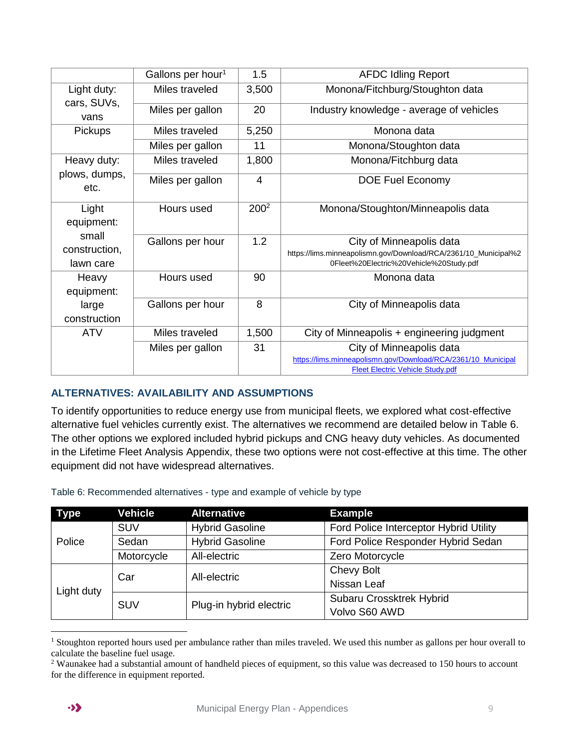|                            | Gallons per hour <sup>1</sup> | 1.5              | <b>AFDC Idling Report</b>                                                                                  |
|----------------------------|-------------------------------|------------------|------------------------------------------------------------------------------------------------------------|
| Light duty:<br>cars, SUVs, | Miles traveled                | 3,500            | Monona/Fitchburg/Stoughton data                                                                            |
| vans                       | Miles per gallon              | 20               | Industry knowledge - average of vehicles                                                                   |
| <b>Pickups</b>             | Miles traveled                | 5,250            | Monona data                                                                                                |
|                            | Miles per gallon              | 11               | Monona/Stoughton data                                                                                      |
| Heavy duty:                | Miles traveled                | 1,800            | Monona/Fitchburg data                                                                                      |
| plows, dumps,<br>etc.      | Miles per gallon              | 4                | <b>DOE Fuel Economy</b>                                                                                    |
| Light<br>equipment:        | Hours used                    | 200 <sup>2</sup> | Monona/Stoughton/Minneapolis data                                                                          |
| small                      | Gallons per hour              | 1.2              | City of Minneapolis data                                                                                   |
| construction,<br>lawn care |                               |                  | https://lims.minneapolismn.gov/Download/RCA/2361/10_Municipal%2<br>0Fleet%20Electric%20Vehicle%20Study.pdf |
| Heavy<br>equipment:        | Hours used                    | 90               | Monona data                                                                                                |
| large<br>construction      | Gallons per hour              | 8                | City of Minneapolis data                                                                                   |
| <b>ATV</b>                 | Miles traveled                | 1,500            | City of Minneapolis + engineering judgment                                                                 |
|                            | Miles per gallon              | 31               | City of Minneapolis data                                                                                   |
|                            |                               |                  | https://lims.minneapolismn.gov/Download/RCA/2361/10 Municipal<br><b>Fleet Electric Vehicle Study.pdf</b>   |

#### <span id="page-8-0"></span>**ALTERNATIVES: AVAILABILITY AND ASSUMPTIONS**

To identify opportunities to reduce energy use from municipal fleets, we explored what cost-effective alternative fuel vehicles currently exist. The alternatives we recommend are detailed below in [Table 6.](#page-8-1) The other options we explored included hybrid pickups and CNG heavy duty vehicles. As documented in the Lifetime Fleet Analysis Appendix, these two options were not cost-effective at this time. The other equipment did not have widespread alternatives.

| <b>Type</b>                     | <b>Vehicle</b>          | <b>Alternative</b>     | <b>Example</b>                         |
|---------------------------------|-------------------------|------------------------|----------------------------------------|
|                                 | <b>SUV</b>              | <b>Hybrid Gasoline</b> | Ford Police Interceptor Hybrid Utility |
| Police                          | Sedan                   | <b>Hybrid Gasoline</b> | Ford Police Responder Hybrid Sedan     |
|                                 | Motorcycle              | All-electric           | Zero Motorcycle                        |
|                                 |                         | All-electric           | Chevy Bolt                             |
| Car<br>Light duty<br><b>SUV</b> |                         | Nissan Leaf            |                                        |
|                                 |                         |                        | Subaru Crossktrek Hybrid               |
|                                 | Plug-in hybrid electric | Volvo S60 AWD          |                                        |

<span id="page-8-1"></span>Table 6: Recommended alternatives - type and example of vehicle by type

 $\overline{a}$ 

<sup>&</sup>lt;sup>1</sup> Stoughton reported hours used per ambulance rather than miles traveled. We used this number as gallons per hour overall to calculate the baseline fuel usage.

<sup>&</sup>lt;sup>2</sup> Waunakee had a substantial amount of handheld pieces of equipment, so this value was decreased to 150 hours to account for the difference in equipment reported.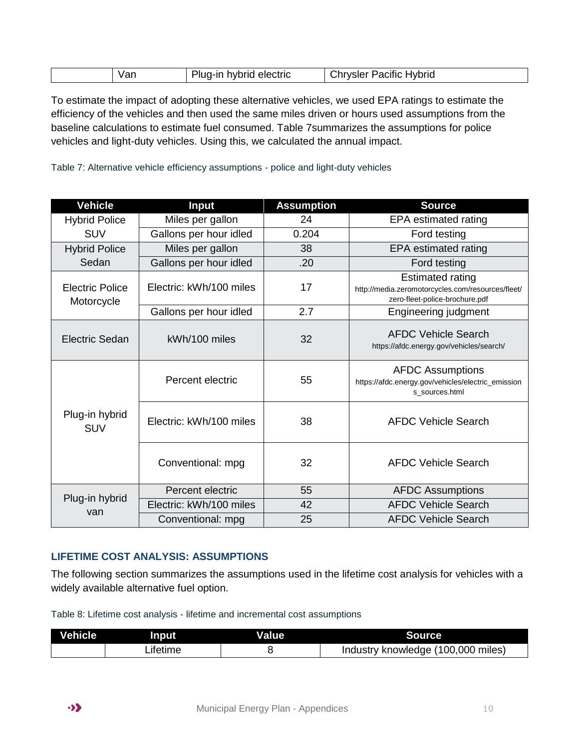| $\mathbf{u}$ | electric<br>.<br>-ın<br>71 V 1<br>'DHC | Hybrid<br>?iti∩<br>sier<br>$\mathbf{v}$<br>- |
|--------------|----------------------------------------|----------------------------------------------|
|--------------|----------------------------------------|----------------------------------------------|

To estimate the impact of adopting these alternative vehicles, we used EPA ratings to estimate the efficiency of the vehicles and then used the same miles driven or hours used assumptions from the baseline calculations to estimate fuel consumed. [Table 7s](#page-9-1)ummarizes the assumptions for police vehicles and light-duty vehicles. Using this, we calculated the annual impact.

<span id="page-9-1"></span>Table 7: Alternative vehicle efficiency assumptions - police and light-duty vehicles

| <b>Vehicle</b>                       | <b>Input</b>            | <b>Assumption</b> | <b>Source</b>                                                                                                  |
|--------------------------------------|-------------------------|-------------------|----------------------------------------------------------------------------------------------------------------|
| <b>Hybrid Police</b>                 | Miles per gallon        | 24                | EPA estimated rating                                                                                           |
| <b>SUV</b>                           | Gallons per hour idled  | 0.204             | Ford testing                                                                                                   |
| <b>Hybrid Police</b>                 | Miles per gallon        | 38                | EPA estimated rating                                                                                           |
| Sedan                                | Gallons per hour idled  | .20               | Ford testing                                                                                                   |
| <b>Electric Police</b><br>Motorcycle | Electric: kWh/100 miles | 17                | <b>Estimated rating</b><br>http://media.zeromotorcycles.com/resources/fleet/<br>zero-fleet-police-brochure.pdf |
|                                      | Gallons per hour idled  | 2.7               | Engineering judgment                                                                                           |
| Electric Sedan                       | kWh/100 miles           | 32                | <b>AFDC Vehicle Search</b><br>https://afdc.energy.gov/vehicles/search/                                         |
|                                      | Percent electric        | 55                | <b>AFDC Assumptions</b><br>https://afdc.energy.gov/vehicles/electric_emission<br>s sources.html                |
| Plug-in hybrid<br><b>SUV</b>         | Electric: kWh/100 miles | 38                | <b>AFDC Vehicle Search</b>                                                                                     |
|                                      | Conventional: mpg       | 32                | <b>AFDC Vehicle Search</b>                                                                                     |
|                                      | Percent electric        | 55                | <b>AFDC Assumptions</b>                                                                                        |
| Plug-in hybrid<br>van                | Electric: kWh/100 miles | 42                | <b>AFDC Vehicle Search</b>                                                                                     |
|                                      | Conventional: mpg       | 25                | <b>AFDC Vehicle Search</b>                                                                                     |

#### <span id="page-9-0"></span>**LIFETIME COST ANALYSIS: ASSUMPTIONS**

The following section summarizes the assumptions used in the lifetime cost analysis for vehicles with a widely available alternative fuel option.

Table 8: Lifetime cost analysis - lifetime and incremental cost assumptions

| <b>Vehicle</b> | Input     | Value | <b>Source</b>                      |
|----------------|-----------|-------|------------------------------------|
|                | _ifetime_ |       | Industry knowledge (100,000 miles) |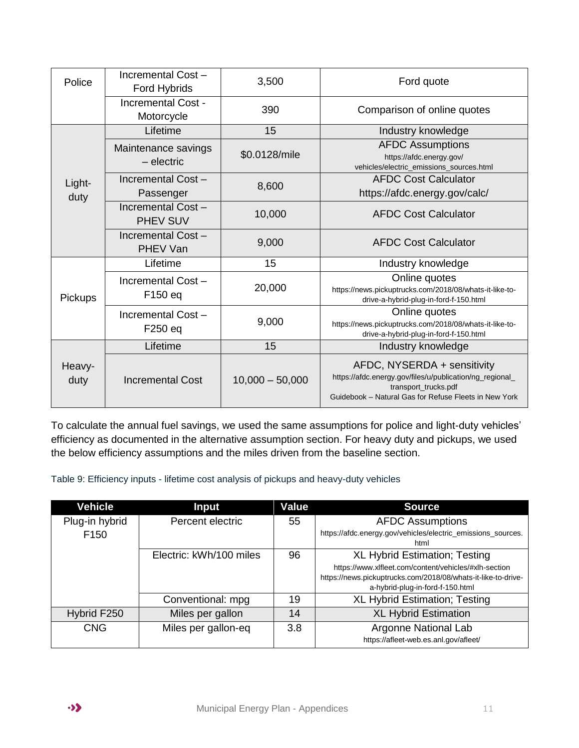| Police         | Incremental Cost-<br>Ford Hybrids     | 3,500                                 | Ford quote                                                                                                                                                               |  |
|----------------|---------------------------------------|---------------------------------------|--------------------------------------------------------------------------------------------------------------------------------------------------------------------------|--|
|                | Incremental Cost -<br>Motorcycle      | 390                                   | Comparison of online quotes                                                                                                                                              |  |
|                | Lifetime                              | 15                                    | Industry knowledge                                                                                                                                                       |  |
|                | Maintenance savings<br>- electric     | \$0.0128/mile                         | <b>AFDC Assumptions</b><br>https://afdc.energy.gov/<br>vehicles/electric_emissions_sources.html                                                                          |  |
| Light-<br>duty | Incremental Cost-<br>Passenger        | 8,600                                 | <b>AFDC Cost Calculator</b><br>https://afdc.energy.gov/calc/                                                                                                             |  |
|                | Incremental Cost -<br><b>PHEV SUV</b> | 10,000<br><b>AFDC Cost Calculator</b> |                                                                                                                                                                          |  |
|                | Incremental Cost -<br><b>PHEV Van</b> | 9,000                                 | <b>AFDC Cost Calculator</b>                                                                                                                                              |  |
|                | Lifetime                              | 15                                    | Industry knowledge                                                                                                                                                       |  |
| Pickups        | Incremental Cost -<br>F150 eq         | 20,000                                | Online quotes<br>https://news.pickuptrucks.com/2018/08/whats-it-like-to-<br>drive-a-hybrid-plug-in-ford-f-150.html                                                       |  |
|                | Incremental Cost -<br>F250 eq         | 9,000                                 | Online quotes<br>https://news.pickuptrucks.com/2018/08/whats-it-like-to-<br>drive-a-hybrid-plug-in-ford-f-150.html                                                       |  |
|                | Lifetime                              | 15                                    | Industry knowledge                                                                                                                                                       |  |
| Heavy-<br>duty | Incremental Cost                      | $10,000 - 50,000$                     | AFDC, NYSERDA + sensitivity<br>https://afdc.energy.gov/files/u/publication/ng_regional_<br>transport_trucks.pdf<br>Guidebook - Natural Gas for Refuse Fleets in New York |  |

To calculate the annual fuel savings, we used the same assumptions for police and light-duty vehicles' efficiency as documented in the alternative assumption section. For heavy duty and pickups, we used the below efficiency assumptions and the miles driven from the baseline section.

Table 9: Efficiency inputs - lifetime cost analysis of pickups and heavy-duty vehicles

| <b>Vehicle</b>   | <b>Input</b>            | <b>Value</b> | <b>Source</b>                                                                                     |
|------------------|-------------------------|--------------|---------------------------------------------------------------------------------------------------|
| Plug-in hybrid   | Percent electric        | 55           | <b>AFDC Assumptions</b>                                                                           |
| F <sub>150</sub> |                         |              | https://afdc.energy.gov/vehicles/electric_emissions_sources.<br>html                              |
|                  | Electric: kWh/100 miles | 96           | <b>XL Hybrid Estimation; Testing</b>                                                              |
|                  |                         |              | https://www.xlfleet.com/content/vehicles/#xlh-section                                             |
|                  |                         |              | https://news.pickuptrucks.com/2018/08/whats-it-like-to-drive-<br>a-hybrid-plug-in-ford-f-150.html |
|                  | Conventional: mpg       | 19           | <b>XL Hybrid Estimation; Testing</b>                                                              |
| Hybrid F250      | Miles per gallon        | 14           | <b>XL Hybrid Estimation</b>                                                                       |
| <b>CNG</b>       | Miles per gallon-eq     | 3.8          | Argonne National Lab                                                                              |
|                  |                         |              | https://afleet-web.es.anl.gov/afleet/                                                             |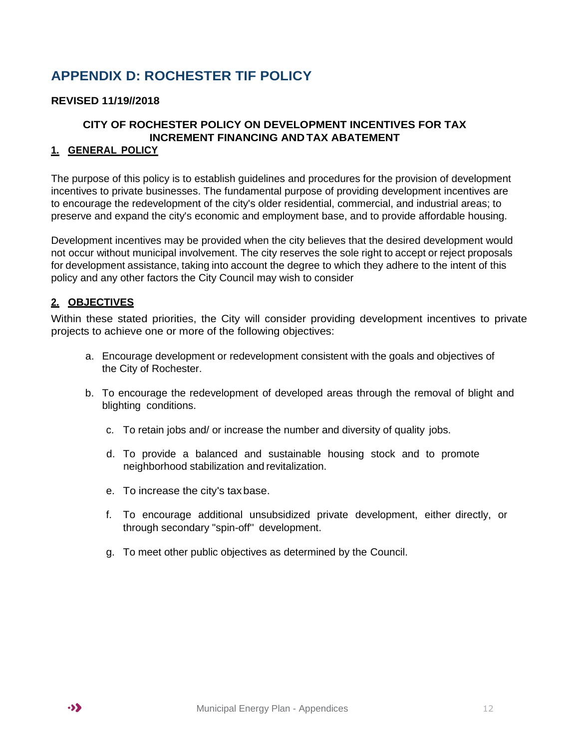## <span id="page-11-0"></span>**APPENDIX D: ROCHESTER TIF POLICY**

#### **REVISED 11/19//2018**

#### **CITY OF ROCHESTER POLICY ON DEVELOPMENT INCENTIVES FOR TAX INCREMENT FINANCING AND TAX ABATEMENT**

#### **1. GENERAL POLICY**

The purpose of this policy is to establish guidelines and procedures for the provision of development incentives to private businesses. The fundamental purpose of providing development incentives are to encourage the redevelopment of the city's older residential, commercial, and industrial areas; to preserve and expand the city's economic and employment base, and to provide affordable housing.

Development incentives may be provided when the city believes that the desired development would not occur without municipal involvement. The city reserves the sole right to accept or reject proposals for development assistance, taking into account the degree to which they adhere to the intent of this policy and any other factors the City Council may wish to consider

#### **2. OBJECTIVES**

Within these stated priorities, the City will consider providing development incentives to private projects to achieve one or more of the following objectives:

- a. Encourage development or redevelopment consistent with the goals and objectives of the City of Rochester.
- b. To encourage the redevelopment of developed areas through the removal of blight and blighting conditions.
	- c. To retain jobs and/ or increase the number and diversity of quality jobs.
	- d. To provide a balanced and sustainable housing stock and to promote neighborhood stabilization and revitalization.
	- e. To increase the city's taxbase.
	- f. To encourage additional unsubsidized private development, either directly, or through secondary "spin-off'' development.
	- g. To meet other public objectives as determined by the Council.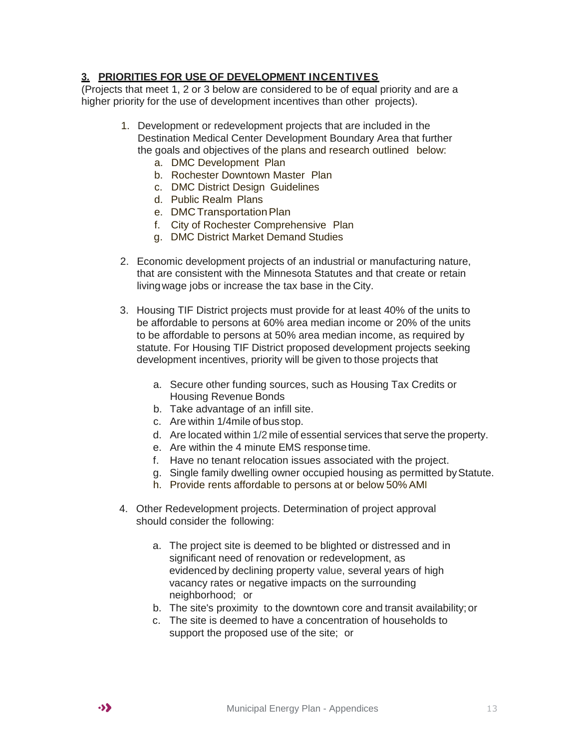#### **3. PRIORITIES FOR USE OF DEVELOPMENT INCENTIVES**

(Projects that meet 1, 2 or 3 below are considered to be of equal priority and are a higher priority for the use of development incentives than other projects).

- 1. Development or redevelopment projects that are included in the Destination Medical Center Development Boundary Area that further the goals and objectives of the plans and research outlined below:
	- a. DMC Development Plan
	- b. Rochester Downtown Master Plan
	- c. DMC District Design Guidelines
	- d. Public Realm Plans
	- e. DMC Transportation Plan
	- f. City of Rochester Comprehensive Plan
	- g. DMC District Market Demand Studies
- 2. Economic development projects of an industrial or manufacturing nature, that are consistent with the Minnesota Statutes and that create or retain livingwage jobs or increase the tax base in the City.
- 3. Housing TIF District projects must provide for at least 40% of the units to be affordable to persons at 60% area median income or 20% of the units to be affordable to persons at 50% area median income, as required by statute. For Housing TIF District proposed development projects seeking development incentives, priority will be given to those projects that
	- a. Secure other funding sources, such as Housing Tax Credits or Housing Revenue Bonds
	- b. Take advantage of an infill site.
	- c. Are within 1/4mile of bus stop.
	- d. Are located within 1/2 mile of essential services that serve the property.
	- e. Are within the 4 minute EMS response time.
	- f. Have no tenant relocation issues associated with the project.
	- g. Single family dwelling owner occupied housing as permitted byStatute.
	- h. Provide rents affordable to persons at or below 50% AMI
- 4. Other Redevelopment projects. Determination of project approval should consider the following:
	- a. The project site is deemed to be blighted or distressed and in significant need of renovation or redevelopment, as evidenced by declining property value, several years of high vacancy rates or negative impacts on the surrounding neighborhood; or
	- b. The site's proximity to the downtown core and transit availability; or
	- c. The site is deemed to have a concentration of households to support the proposed use of the site; or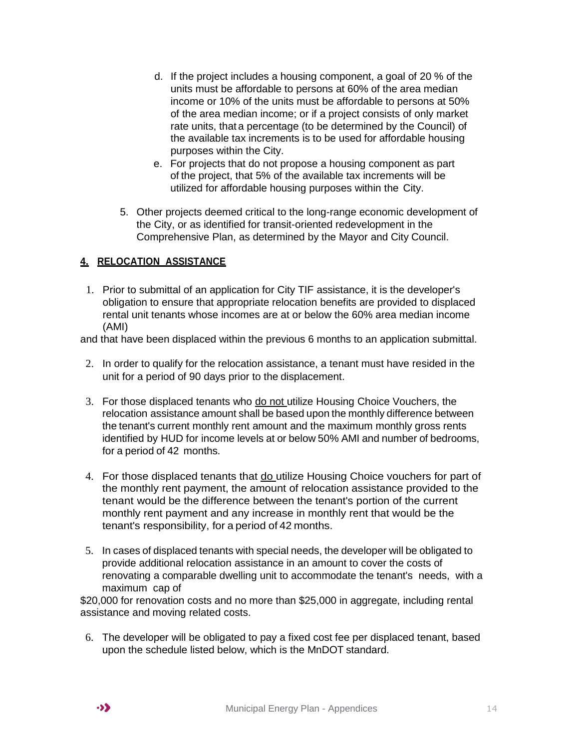- d. If the project includes a housing component, a goal of 20 % of the units must be affordable to persons at 60% of the area median income or 10% of the units must be affordable to persons at 50% of the area median income; or if a project consists of only market rate units, that a percentage (to be determined by the Council) of the available tax increments is to be used for affordable housing purposes within the City.
- e. For projects that do not propose a housing component as part of the project, that 5% of the available tax increments will be utilized for affordable housing purposes within the City.
- 5. Other projects deemed critical to the long-range economic development of the City, or as identified for transit-oriented redevelopment in the Comprehensive Plan, as determined by the Mayor and City Council.

#### **4. RELOCATION ASSISTANCE**

1. Prior to submittal of an application for City TIF assistance, it is the developer's obligation to ensure that appropriate relocation benefits are provided to displaced rental unit tenants whose incomes are at or below the 60% area median income (AMI)

and that have been displaced within the previous 6 months to an application submittal.

- 2. In order to qualify for the relocation assistance, a tenant must have resided in the unit for a period of 90 days prior to the displacement.
- 3. For those displaced tenants who do not utilize Housing Choice Vouchers, the relocation assistance amount shall be based upon the monthly difference between the tenant's current monthly rent amount and the maximum monthly gross rents identified by HUD for income levels at or below 50% AMI and number of bedrooms, for a period of 42 months.
- 4. For those displaced tenants that do utilize Housing Choice vouchers for part of the monthly rent payment, the amount of relocation assistance provided to the tenant would be the difference between the tenant's portion of the current monthly rent payment and any increase in monthly rent that would be the tenant's responsibility, for a period of 42 months.
- 5. In cases of displaced tenants with special needs, the developer will be obligated to provide additional relocation assistance in an amount to cover the costs of renovating a comparable dwelling unit to accommodate the tenant's needs, with a maximum cap of

\$20,000 for renovation costs and no more than \$25,000 in aggregate, including rental assistance and moving related costs.

6. The developer will be obligated to pay a fixed cost fee per displaced tenant, based upon the schedule listed below, which is the MnDOT standard.

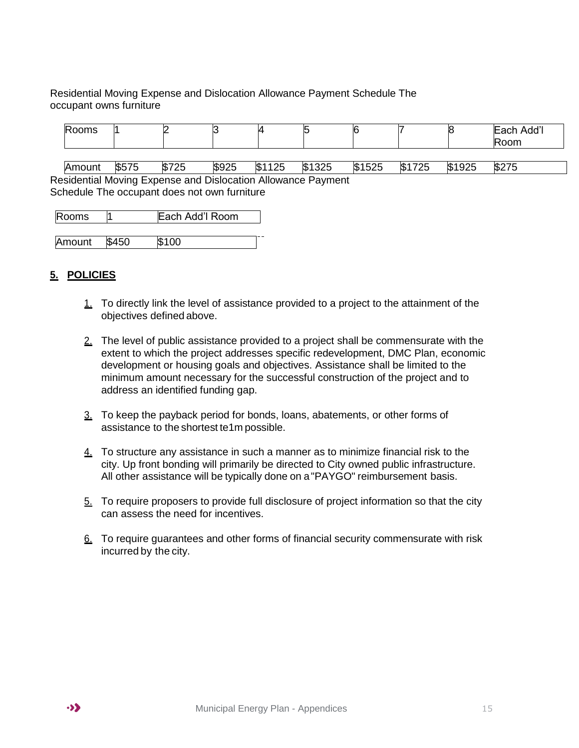Residential Moving Expense and Dislocation Allowance Payment Schedule The occupant owns furniture

| Rooms  |       |       |       | ∠      |        |        |            |        | Each Add'l<br>Room |
|--------|-------|-------|-------|--------|--------|--------|------------|--------|--------------------|
|        |       |       |       |        |        |        |            |        |                    |
| Amount | \$575 | \$725 | \$925 | \$1125 | \$1325 | \$1525 | 725<br>\$1 | \$1925 | \$275              |

Residential Moving Expense and Dislocation Allowance Payment Schedule The occupant does not own furniture

| Rooms  |       | Each Add'l Room |  |
|--------|-------|-----------------|--|
|        |       |                 |  |
| Amount | \$450 | \$100           |  |

#### **5. POLICIES**

- 1. To directly link the level of assistance provided to a project to the attainment of the objectives defined above.
- 2. The level of public assistance provided to a project shall be commensurate with the extent to which the project addresses specific redevelopment, DMC Plan, economic development or housing goals and objectives. Assistance shall be limited to the minimum amount necessary for the successful construction of the project and to address an identified funding gap.
- 3. To keep the payback period for bonds, loans, abatements, or other forms of assistance to the shortest te1m possible.
- 4. To structure any assistance in such a manner as to minimize financial risk to the city. Up front bonding will primarily be directed to City owned public infrastructure. All other assistance will be typically done on a"PAYGO" reimbursement basis.
- 5. To require proposers to provide full disclosure of project information so that the city can assess the need for incentives.
- 6. To require guarantees and other forms of financial security commensurate with risk incurred by the city.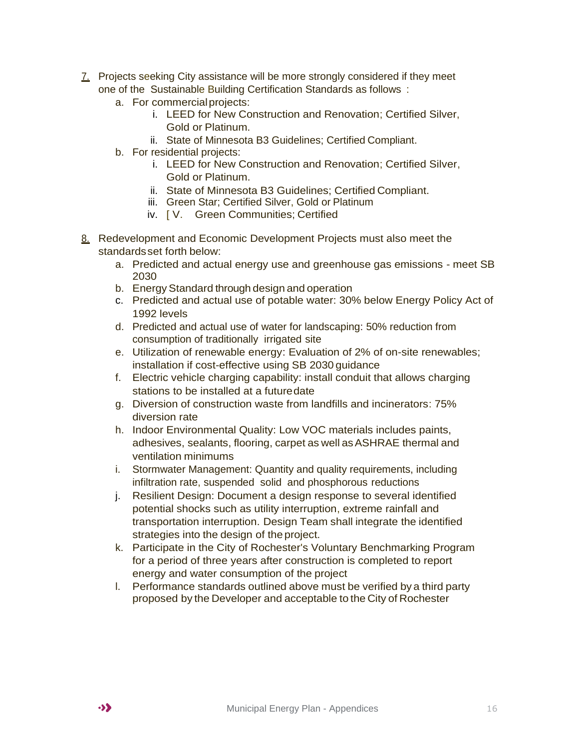- 7. Projects seeking City assistance will be more strongly considered if they meet one of the Sustainable Building Certification Standards as follows :
	- a. For commercialprojects:
		- i. LEED for New Construction and Renovation; Certified Silver, Gold or Platinum.
		- ii. State of Minnesota B3 Guidelines; Certified Compliant.
	- b. For residential projects:
		- i. LEED for New Construction and Renovation; Certified Silver, Gold or Platinum.
		- ii. State of Minnesota B3 Guidelines; Certified Compliant.
		- iii. Green Star; Certified Silver, Gold or Platinum
		- iv. [ V. Green Communities; Certified
- 8. Redevelopment and Economic Development Projects must also meet the standardsset forth below:
	- a. Predicted and actual energy use and greenhouse gas emissions meet SB 2030
	- b. Energy Standard through design and operation
	- c. Predicted and actual use of potable water: 30% below Energy Policy Act of 1992 levels
	- d. Predicted and actual use of water for landscaping: 50% reduction from consumption of traditionally irrigated site
	- e. Utilization of renewable energy: Evaluation of 2% of on-site renewables; installation if cost-effective using SB 2030 guidance
	- f. Electric vehicle charging capability: install conduit that allows charging stations to be installed at a futuredate
	- g. Diversion of construction waste from landfills and incinerators: 75% diversion rate
	- h. Indoor Environmental Quality: Low VOC materials includes paints, adhesives, sealants, flooring, carpet as well as ASHRAE thermal and ventilation minimums
	- i. Stormwater Management: Quantity and quality requirements, including infiltration rate, suspended solid and phosphorous reductions
	- j. Resilient Design: Document a design response to several identified potential shocks such as utility interruption, extreme rainfall and transportation interruption. Design Team shall integrate the identified strategies into the design of the project.
	- k. Participate in the City of Rochester's Voluntary Benchmarking Program for a period of three years after construction is completed to report energy and water consumption of the project
	- l. Performance standards outlined above must be verified by a third party proposed by the Developer and acceptable to the City of Rochester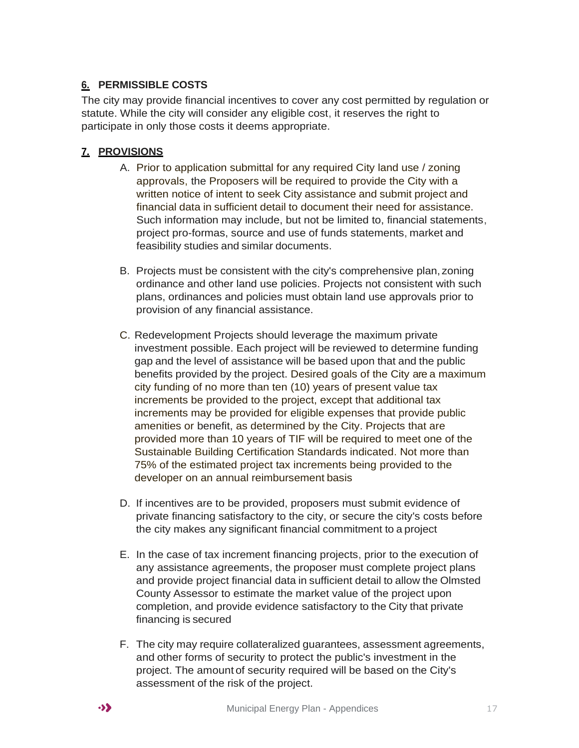#### **6. PERMISSIBLE COSTS**

The city may provide financial incentives to cover any cost permitted by regulation or statute. While the city will consider any eligible cost, it reserves the right to participate in only those costs it deems appropriate.

#### **7. PROVISIONS**

- A. Prior to application submittal for any required City land use / zoning approvals, the Proposers will be required to provide the City with a written notice of intent to seek City assistance and submit project and financial data in sufficient detail to document their need for assistance. Such information may include, but not be limited to, financial statements, project pro-formas, source and use of funds statements, market and feasibility studies and similar documents.
- B. Projects must be consistent with the city's comprehensive plan, zoning ordinance and other land use policies. Projects not consistent with such plans, ordinances and policies must obtain land use approvals prior to provision of any financial assistance.
- C. Redevelopment Projects should leverage the maximum private investment possible. Each project will be reviewed to determine funding gap and the level of assistance will be based upon that and the public benefits provided by the project. Desired goals of the City are a maximum city funding of no more than ten (10) years of present value tax increments be provided to the project, except that additional tax increments may be provided for eligible expenses that provide public amenities or benefit, as determined by the City. Projects that are provided more than 10 years of TIF will be required to meet one of the Sustainable Building Certification Standards indicated. Not more than 75% of the estimated project tax increments being provided to the developer on an annual reimbursement basis
- D. If incentives are to be provided, proposers must submit evidence of private financing satisfactory to the city, or secure the city's costs before the city makes any significant financial commitment to a project
- E. In the case of tax increment financing projects, prior to the execution of any assistance agreements, the proposer must complete project plans and provide project financial data in sufficient detail to allow the Olmsted County Assessor to estimate the market value of the project upon completion, and provide evidence satisfactory to the City that private financing is secured
- F. The city may require collateralized guarantees, assessment agreements, and other forms of security to protect the public's investment in the project. The amount of security required will be based on the City's assessment of the risk of the project.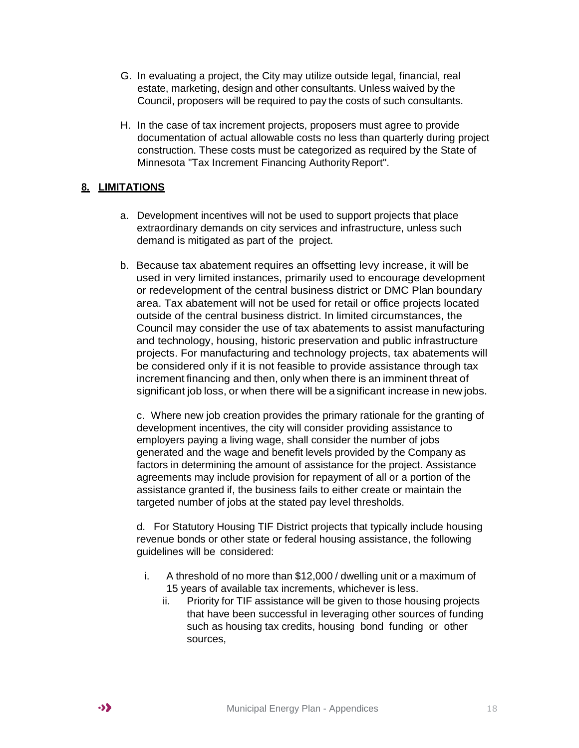- G. In evaluating a project, the City may utilize outside legal, financial, real estate, marketing, design and other consultants. Unless waived by the Council, proposers will be required to pay the costs of such consultants.
- H. In the case of tax increment projects, proposers must agree to provide documentation of actual allowable costs no less than quarterly during project construction. These costs must be categorized as required by the State of Minnesota "Tax Increment Financing Authority Report".

#### **8. LIMITATIONS**

- a. Development incentives will not be used to support projects that place extraordinary demands on city services and infrastructure, unless such demand is mitigated as part of the project.
- b. Because tax abatement requires an offsetting levy increase, it will be used in very limited instances, primarily used to encourage development or redevelopment of the central business district or DMC Plan boundary area. Tax abatement will not be used for retail or office projects located outside of the central business district. In limited circumstances, the Council may consider the use of tax abatements to assist manufacturing and technology, housing, historic preservation and public infrastructure projects. For manufacturing and technology projects, tax abatements will be considered only if it is not feasible to provide assistance through tax increment financing and then, only when there is an imminent threat of significant job loss, or when there will be a significant increase in new jobs.

c. Where new job creation provides the primary rationale for the granting of development incentives, the city will consider providing assistance to employers paying a living wage, shall consider the number of jobs generated and the wage and benefit levels provided by the Company as factors in determining the amount of assistance for the project. Assistance agreements may include provision for repayment of all or a portion of the assistance granted if, the business fails to either create or maintain the targeted number of jobs at the stated pay level thresholds.

d. For Statutory Housing TIF District projects that typically include housing revenue bonds or other state or federal housing assistance, the following guidelines will be considered:

- i. A threshold of no more than \$12,000 / dwelling unit or a maximum of 15 years of available tax increments, whichever is less.
	- ii. Priority for TIF assistance will be given to those housing projects that have been successful in leveraging other sources of funding such as housing tax credits, housing bond funding or other sources,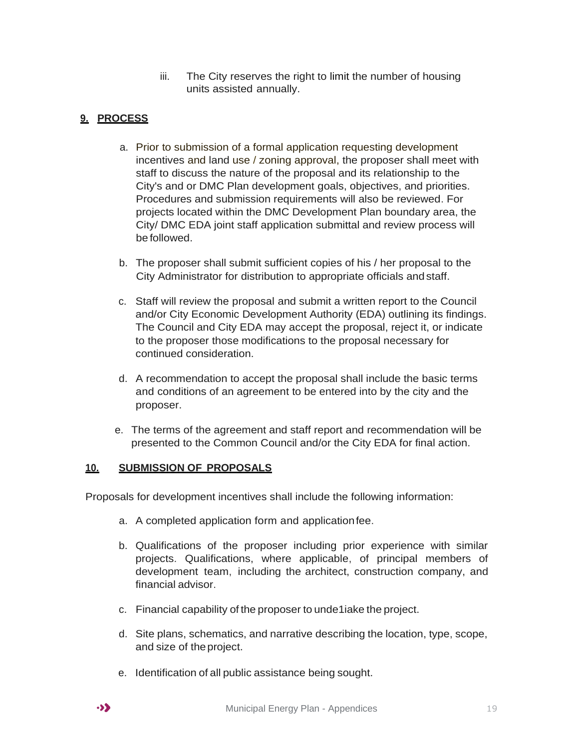iii. The City reserves the right to limit the number of housing units assisted annually.

#### **9. PROCESS**

- a. Prior to submission of a formal application requesting development incentives and land use / zoning approval, the proposer shall meet with staff to discuss the nature of the proposal and its relationship to the City's and or DMC Plan development goals, objectives, and priorities. Procedures and submission requirements will also be reviewed. For projects located within the DMC Development Plan boundary area, the City/ DMC EDA joint staff application submittal and review process will be followed.
- b. The proposer shall submit sufficient copies of his / her proposal to the City Administrator for distribution to appropriate officials andstaff.
- c. Staff will review the proposal and submit a written report to the Council and/or City Economic Development Authority (EDA) outlining its findings. The Council and City EDA may accept the proposal, reject it, or indicate to the proposer those modifications to the proposal necessary for continued consideration.
- d. A recommendation to accept the proposal shall include the basic terms and conditions of an agreement to be entered into by the city and the proposer.
- e. The terms of the agreement and staff report and recommendation will be presented to the Common Council and/or the City EDA for final action.

#### **10. SUBMISSION OF PROPOSALS**

Proposals for development incentives shall include the following information:

- a. A completed application form and applicationfee.
- b. Qualifications of the proposer including prior experience with similar projects. Qualifications, where applicable, of principal members of development team, including the architect, construction company, and financial advisor.
- c. Financial capability of the proposer to unde1iake the project.
- d. Site plans, schematics, and narrative describing the location, type, scope, and size of theproject.
- e. Identification of all public assistance being sought.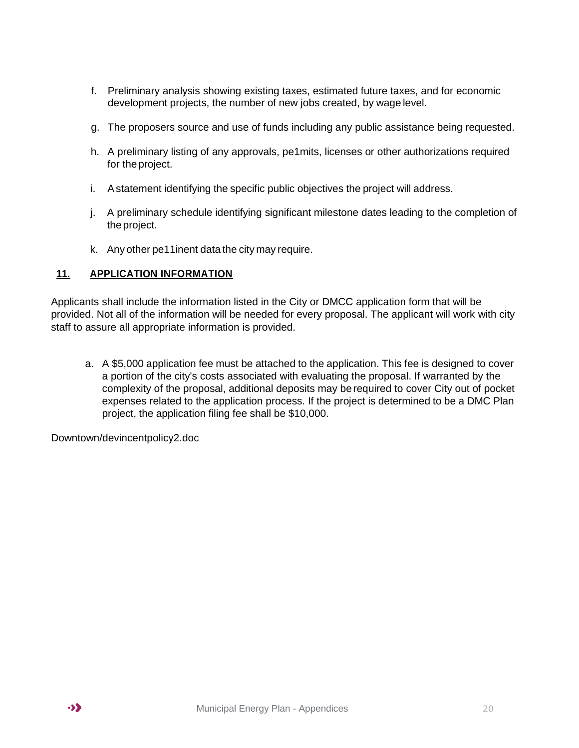- f. Preliminary analysis showing existing taxes, estimated future taxes, and for economic development projects, the number of new jobs created, by wage level.
- g. The proposers source and use of funds including any public assistance being requested.
- h. A preliminary listing of any approvals, pe1mits, licenses or other authorizations required for theproject.
- i. Astatement identifying the specific public objectives the project will address.
- j. A preliminary schedule identifying significant milestone dates leading to the completion of theproject.
- k. Any other pe11inent data the city may require.

#### **11. APPLICATION INFORMATION**

Applicants shall include the information listed in the City or DMCC application form that will be provided. Not all of the information will be needed for every proposal. The applicant will work with city staff to assure all appropriate information is provided.

a. A \$5,000 application fee must be attached to the application. This fee is designed to cover a portion of the city's costs associated with evaluating the proposal. If warranted by the complexity of the proposal, additional deposits may be required to cover City out of pocket expenses related to the application process. If the project is determined to be a DMC Plan project, the application filing fee shall be \$10,000.

Downtown/devincentpolicy2.doc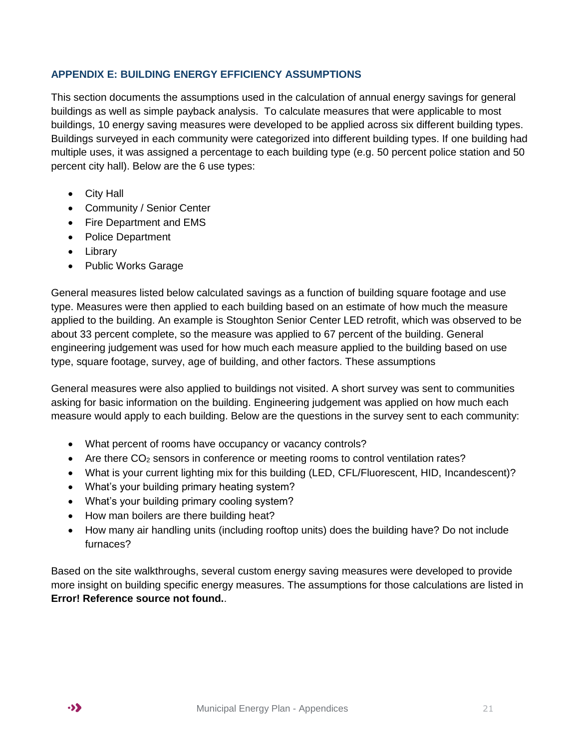#### <span id="page-20-0"></span>**APPENDIX E: BUILDING ENERGY EFFICIENCY ASSUMPTIONS**

This section documents the assumptions used in the calculation of annual energy savings for general buildings as well as simple payback analysis. To calculate measures that were applicable to most buildings, 10 energy saving measures were developed to be applied across six different building types. Buildings surveyed in each community were categorized into different building types. If one building had multiple uses, it was assigned a percentage to each building type (e.g. 50 percent police station and 50 percent city hall). Below are the 6 use types:

- City Hall
- Community / Senior Center
- Fire Department and EMS
- Police Department
- Library
- Public Works Garage

General measures listed below calculated savings as a function of building square footage and use type. Measures were then applied to each building based on an estimate of how much the measure applied to the building. An example is Stoughton Senior Center LED retrofit, which was observed to be about 33 percent complete, so the measure was applied to 67 percent of the building. General engineering judgement was used for how much each measure applied to the building based on use type, square footage, survey, age of building, and other factors. These assumptions

General measures were also applied to buildings not visited. A short survey was sent to communities asking for basic information on the building. Engineering judgement was applied on how much each measure would apply to each building. Below are the questions in the survey sent to each community:

- What percent of rooms have occupancy or vacancy controls?
- Are there  $CO<sub>2</sub>$  sensors in conference or meeting rooms to control ventilation rates?
- What is your current lighting mix for this building (LED, CFL/Fluorescent, HID, Incandescent)?
- What's your building primary heating system?
- What's your building primary cooling system?
- How man boilers are there building heat?
- How many air handling units (including rooftop units) does the building have? Do not include furnaces?

Based on the site walkthroughs, several custom energy saving measures were developed to provide more insight on building specific energy measures. The assumptions for those calculations are listed in **Error! Reference source not found.**.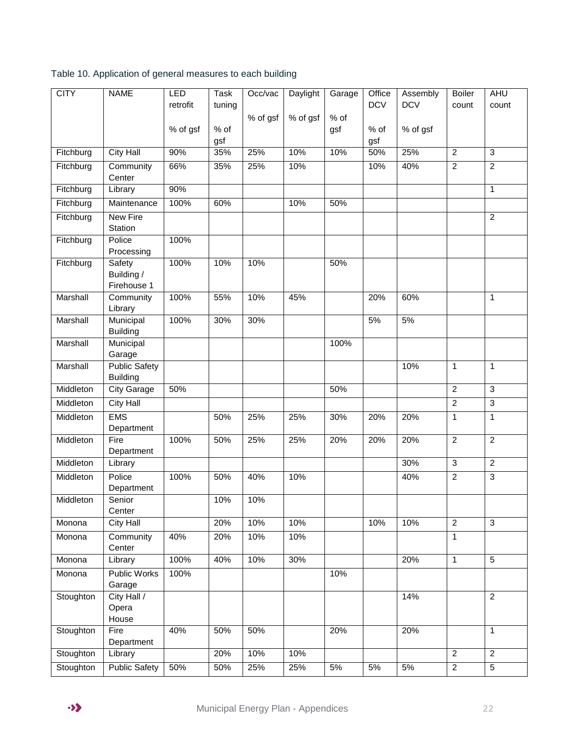| <b>CITY</b> | <b>NAME</b>                             | LED<br>retrofit | <b>Task</b><br>tuning | Occ/vac  | Daylight | Garage | Office<br><b>DCV</b> | Assembly<br><b>DCV</b> | <b>Boiler</b><br>count | AHU<br>count   |
|-------------|-----------------------------------------|-----------------|-----------------------|----------|----------|--------|----------------------|------------------------|------------------------|----------------|
|             |                                         |                 |                       | % of gsf | % of gsf | % of   |                      |                        |                        |                |
|             |                                         | % of gsf        | % of                  |          |          | gsf    | % of                 | % of gsf               |                        |                |
|             |                                         |                 | gsf                   |          |          |        | gsf                  |                        |                        |                |
| Fitchburg   | <b>City Hall</b>                        | 90%             | 35%                   | 25%      | 10%      | 10%    | 50%                  | 25%                    | $\overline{2}$         | 3              |
| Fitchburg   | Community<br>Center                     | 66%             | 35%                   | 25%      | 10%      |        | 10%                  | 40%                    | $\boldsymbol{2}$       | $\overline{c}$ |
| Fitchburg   | Library                                 | 90%             |                       |          |          |        |                      |                        |                        | 1              |
| Fitchburg   | Maintenance                             | 100%            | 60%                   |          | 10%      | 50%    |                      |                        |                        |                |
| Fitchburg   | New Fire<br>Station                     |                 |                       |          |          |        |                      |                        |                        | $\overline{2}$ |
| Fitchburg   | Police<br>Processing                    | 100%            |                       |          |          |        |                      |                        |                        |                |
| Fitchburg   | Safety<br>Building /<br>Firehouse 1     | 100%            | 10%                   | 10%      |          | 50%    |                      |                        |                        |                |
| Marshall    | Community<br>Library                    | 100%            | 55%                   | 10%      | 45%      |        | 20%                  | 60%                    |                        | $\mathbf{1}$   |
| Marshall    | Municipal<br><b>Building</b>            | 100%            | 30%                   | 30%      |          |        | 5%                   | 5%                     |                        |                |
| Marshall    | Municipal<br>Garage                     |                 |                       |          |          | 100%   |                      |                        |                        |                |
| Marshall    | <b>Public Safety</b><br><b>Building</b> |                 |                       |          |          |        |                      | 10%                    | $\mathbf{1}$           | 1              |
| Middleton   | <b>City Garage</b>                      | 50%             |                       |          |          | 50%    |                      |                        | $\overline{c}$         | 3              |
| Middleton   | <b>City Hall</b>                        |                 |                       |          |          |        |                      |                        | $\overline{c}$         | $\overline{3}$ |
| Middleton   | <b>EMS</b><br>Department                |                 | 50%                   | 25%      | 25%      | 30%    | 20%                  | 20%                    | 1                      | $\mathbf{1}$   |
| Middleton   | Fire<br>Department                      | 100%            | 50%                   | 25%      | 25%      | 20%    | 20%                  | 20%                    | $\overline{c}$         | $\overline{2}$ |
| Middleton   | Library                                 |                 |                       |          |          |        |                      | 30%                    | $\sqrt{3}$             | $\overline{2}$ |
| Middleton   | Police<br>Department                    | 100%            | 50%                   | 40%      | 10%      |        |                      | 40%                    | $\overline{2}$         | $\overline{3}$ |
| Middleton   | Senior<br>Center                        |                 | 10%                   | 10%      |          |        |                      |                        |                        |                |
| Monona      | <b>City Hall</b>                        |                 | 20%                   | 10%      | 10%      |        | 10%                  | 10%                    | $\overline{2}$         | $\overline{3}$ |
| Monona      | Community<br>Center                     | 40%             | 20%                   | 10%      | 10%      |        |                      |                        | $\mathbf{1}$           |                |
| Monona      | Library                                 | 100%            | 40%                   | 10%      | 30%      |        |                      | 20%                    | $\mathbf{1}$           | 5              |
| Monona      | <b>Public Works</b><br>Garage           | 100%            |                       |          |          | 10%    |                      |                        |                        |                |
| Stoughton   | City Hall /<br>Opera<br>House           |                 |                       |          |          |        |                      | 14%                    |                        | $\overline{2}$ |
| Stoughton   | Fire<br>Department                      | 40%             | 50%                   | 50%      |          | 20%    |                      | 20%                    |                        | $\mathbf{1}$   |
| Stoughton   | Library                                 |                 | 20%                   | 10%      | 10%      |        |                      |                        | $\overline{2}$         | $\overline{2}$ |
| Stoughton   | <b>Public Safety</b>                    | 50%             | 50%                   | 25%      | 25%      | $5\%$  | 5%                   | $5%$                   | $\overline{2}$         | 5              |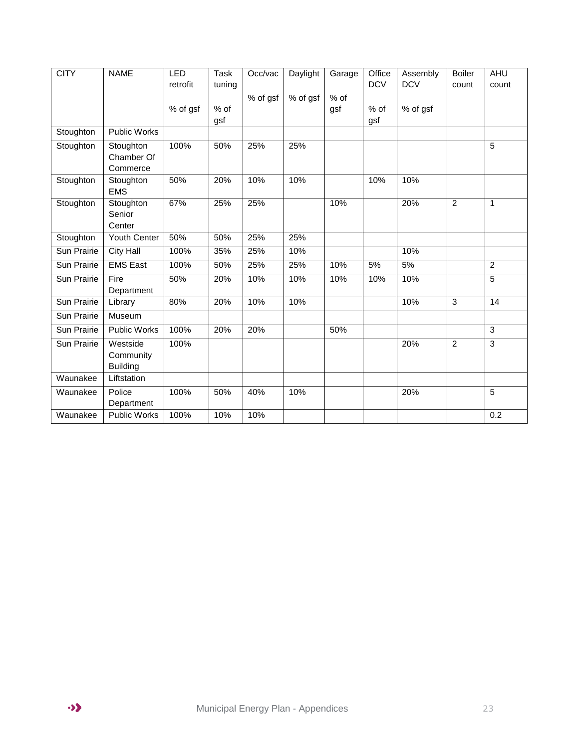| <b>CITY</b>        | <b>NAME</b>                              | <b>LED</b> | <b>Task</b> | Occ/vac  | Daylight | Garage | Office     | Assembly   | <b>Boiler</b>  | AHU            |
|--------------------|------------------------------------------|------------|-------------|----------|----------|--------|------------|------------|----------------|----------------|
|                    |                                          | retrofit   | tuning      |          |          |        | <b>DCV</b> | <b>DCV</b> | count          | count          |
|                    |                                          |            |             | % of gsf | % of gsf | $%$ of |            |            |                |                |
|                    |                                          | % of gsf   | % of        |          |          | gsf    | % of       | % of gsf   |                |                |
|                    |                                          |            | gsf         |          |          |        | gsf        |            |                |                |
| Stoughton          | <b>Public Works</b>                      |            |             |          |          |        |            |            |                |                |
| Stoughton          | Stoughton<br>Chamber Of<br>Commerce      | 100%       | 50%         | 25%      | 25%      |        |            |            |                | 5              |
| Stoughton          | Stoughton<br><b>EMS</b>                  | 50%        | 20%         | 10%      | 10%      |        | 10%        | 10%        |                |                |
| Stoughton          | Stoughton<br>Senior<br>Center            | 67%        | 25%         | 25%      |          | 10%    |            | 20%        | $\overline{2}$ | 1              |
| Stoughton          | Youth Center                             | 50%        | 50%         | 25%      | 25%      |        |            |            |                |                |
| Sun Prairie        | <b>City Hall</b>                         | 100%       | 35%         | 25%      | 10%      |        |            | 10%        |                |                |
| Sun Prairie        | <b>EMS East</b>                          | 100%       | 50%         | 25%      | 25%      | 10%    | 5%         | 5%         |                | 2              |
| Sun Prairie        | Fire<br>Department                       | 50%        | 20%         | 10%      | 10%      | 10%    | 10%        | 10%        |                | 5              |
| <b>Sun Prairie</b> | Library                                  | 80%        | 20%         | 10%      | 10%      |        |            | 10%        | 3              | 14             |
| <b>Sun Prairie</b> | Museum                                   |            |             |          |          |        |            |            |                |                |
| Sun Prairie        | Public Works                             | 100%       | 20%         | 20%      |          | 50%    |            |            |                | $\overline{3}$ |
| Sun Prairie        | Westside<br>Community<br><b>Building</b> | 100%       |             |          |          |        |            | 20%        | $\overline{2}$ | 3              |
| Waunakee           | Liftstation                              |            |             |          |          |        |            |            |                |                |
| Waunakee           | Police<br>Department                     | 100%       | 50%         | 40%      | 10%      |        |            | 20%        |                | $\overline{5}$ |
| Waunakee           | <b>Public Works</b>                      | 100%       | 10%         | 10%      |          |        |            |            |                | 0.2            |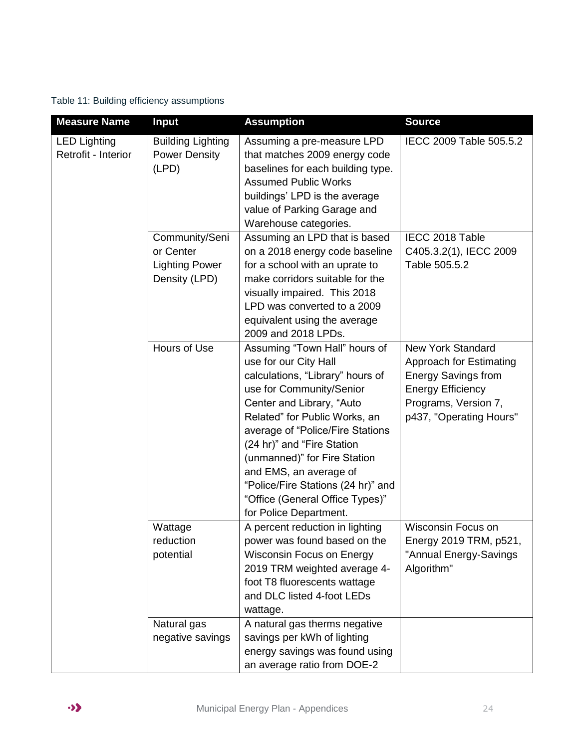Table 11: Building efficiency assumptions

| <b>Measure Name</b>                        | <b>Input</b>                                                          | <b>Assumption</b>                                                                                                                                                                                                                                                                                                                                                                                                   | <b>Source</b>                                                                                                                                                           |
|--------------------------------------------|-----------------------------------------------------------------------|---------------------------------------------------------------------------------------------------------------------------------------------------------------------------------------------------------------------------------------------------------------------------------------------------------------------------------------------------------------------------------------------------------------------|-------------------------------------------------------------------------------------------------------------------------------------------------------------------------|
| <b>LED Lighting</b><br>Retrofit - Interior | <b>Building Lighting</b><br><b>Power Density</b><br>(LPD)             | Assuming a pre-measure LPD<br>that matches 2009 energy code<br>baselines for each building type.<br><b>Assumed Public Works</b><br>buildings' LPD is the average<br>value of Parking Garage and<br>Warehouse categories.                                                                                                                                                                                            | IECC 2009 Table 505.5.2                                                                                                                                                 |
|                                            | Community/Seni<br>or Center<br><b>Lighting Power</b><br>Density (LPD) | Assuming an LPD that is based<br>on a 2018 energy code baseline<br>for a school with an uprate to<br>make corridors suitable for the<br>visually impaired. This 2018<br>LPD was converted to a 2009<br>equivalent using the average<br>2009 and 2018 LPDs.                                                                                                                                                          | IECC 2018 Table<br>C405.3.2(1), IECC 2009<br>Table 505.5.2                                                                                                              |
|                                            | Hours of Use                                                          | Assuming "Town Hall" hours of<br>use for our City Hall<br>calculations, "Library" hours of<br>use for Community/Senior<br>Center and Library, "Auto<br>Related" for Public Works, an<br>average of "Police/Fire Stations<br>(24 hr)" and "Fire Station<br>(unmanned)" for Fire Station<br>and EMS, an average of<br>"Police/Fire Stations (24 hr)" and<br>"Office (General Office Types)"<br>for Police Department. | <b>New York Standard</b><br><b>Approach for Estimating</b><br><b>Energy Savings from</b><br><b>Energy Efficiency</b><br>Programs, Version 7,<br>p437, "Operating Hours" |
|                                            | Wattage<br>reduction<br>potential                                     | A percent reduction in lighting<br>power was found based on the<br>Wisconsin Focus on Energy<br>2019 TRM weighted average 4-<br>foot T8 fluorescents wattage<br>and DLC listed 4-foot LEDs<br>wattage.                                                                                                                                                                                                              | <b>Wisconsin Focus on</b><br>Energy 2019 TRM, p521,<br>"Annual Energy-Savings<br>Algorithm"                                                                             |
|                                            | Natural gas<br>negative savings                                       | A natural gas therms negative<br>savings per kWh of lighting<br>energy savings was found using<br>an average ratio from DOE-2                                                                                                                                                                                                                                                                                       |                                                                                                                                                                         |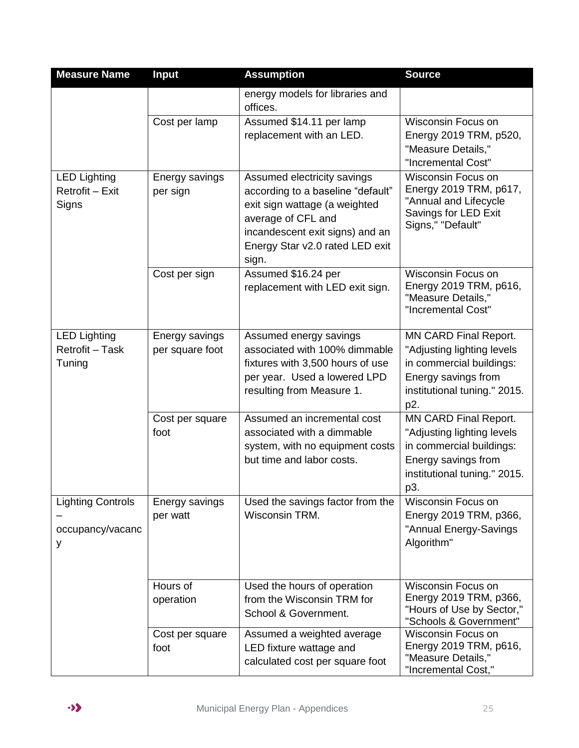| <b>Measure Name</b>                               | <b>Input</b>                      | <b>Assumption</b>                                                                                                                                                                                      | <b>Source</b>                                                                                                                                        |
|---------------------------------------------------|-----------------------------------|--------------------------------------------------------------------------------------------------------------------------------------------------------------------------------------------------------|------------------------------------------------------------------------------------------------------------------------------------------------------|
|                                                   |                                   | energy models for libraries and<br>offices.                                                                                                                                                            |                                                                                                                                                      |
|                                                   | Cost per lamp                     | Assumed \$14.11 per lamp<br>replacement with an LED.                                                                                                                                                   | <b>Wisconsin Focus on</b><br>Energy 2019 TRM, p520,<br>"Measure Details,"<br>"Incremental Cost"                                                      |
| <b>LED Lighting</b><br>Retrofit - Exit<br>Signs   | Energy savings<br>per sign        | Assumed electricity savings<br>according to a baseline "default"<br>exit sign wattage (a weighted<br>average of CFL and<br>incandescent exit signs) and an<br>Energy Star v2.0 rated LED exit<br>sign. | Wisconsin Focus on<br>Energy 2019 TRM, p617,<br>"Annual and Lifecycle<br>Savings for LED Exit<br>Signs," "Default"                                   |
|                                                   | Cost per sign                     | Assumed \$16.24 per<br>replacement with LED exit sign.                                                                                                                                                 | Wisconsin Focus on<br>Energy 2019 TRM, p616,<br>"Measure Details,"<br>"Incremental Cost"                                                             |
| <b>LED Lighting</b><br>Retrofit - Task<br>Tuning  | Energy savings<br>per square foot | Assumed energy savings<br>associated with 100% dimmable<br>fixtures with 3,500 hours of use<br>per year. Used a lowered LPD<br>resulting from Measure 1.                                               | <b>MN CARD Final Report.</b><br>"Adjusting lighting levels<br>in commercial buildings:<br>Energy savings from<br>institutional tuning." 2015.<br>p2. |
|                                                   | Cost per square<br>foot           | Assumed an incremental cost<br>associated with a dimmable<br>system, with no equipment costs<br>but time and labor costs.                                                                              | MN CARD Final Report.<br>"Adjusting lighting levels<br>in commercial buildings:<br>Energy savings from<br>institutional tuning." 2015.<br>p3.        |
| <b>Lighting Controls</b><br>occupancy/vacanc<br>у | Energy savings<br>per watt        | Used the savings factor from the<br>Wisconsin TRM.                                                                                                                                                     | Wisconsin Focus on<br>Energy 2019 TRM, p366,<br>"Annual Energy-Savings<br>Algorithm"                                                                 |
|                                                   | Hours of<br>operation             | Used the hours of operation<br>from the Wisconsin TRM for<br>School & Government.                                                                                                                      | Wisconsin Focus on<br>Energy 2019 TRM, p366,<br>"Hours of Use by Sector,"<br>"Schools & Government"                                                  |
|                                                   | Cost per square<br>foot           | Assumed a weighted average<br>LED fixture wattage and<br>calculated cost per square foot                                                                                                               | Wisconsin Focus on<br>Energy 2019 TRM, p616,<br>"Measure Details,"<br>"Incremental Cost,"                                                            |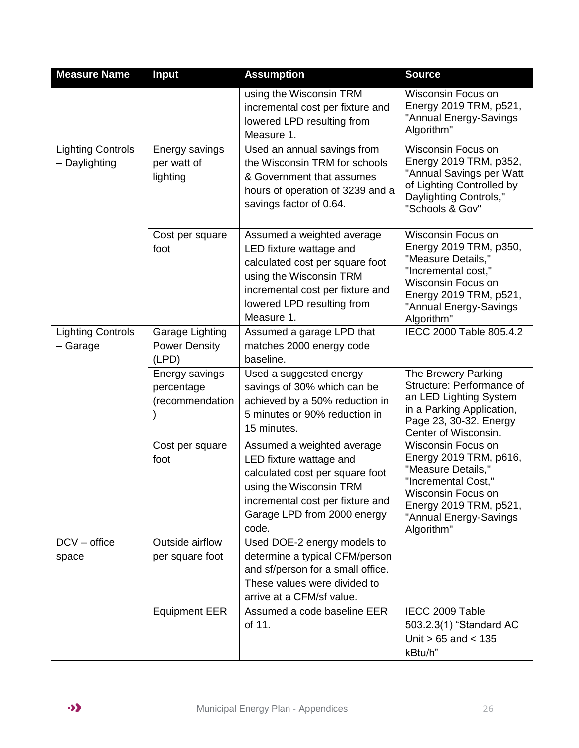| <b>Measure Name</b>                       | <b>Input</b>                                     | <b>Assumption</b>                                                                                                                                                                                   | <b>Source</b>                                                                                                                                                                                   |
|-------------------------------------------|--------------------------------------------------|-----------------------------------------------------------------------------------------------------------------------------------------------------------------------------------------------------|-------------------------------------------------------------------------------------------------------------------------------------------------------------------------------------------------|
|                                           |                                                  | using the Wisconsin TRM<br>incremental cost per fixture and<br>lowered LPD resulting from<br>Measure 1.                                                                                             | <b>Wisconsin Focus on</b><br>Energy 2019 TRM, p521,<br>"Annual Energy-Savings<br>Algorithm"                                                                                                     |
| <b>Lighting Controls</b><br>- Daylighting | Energy savings<br>per watt of<br>lighting        | Used an annual savings from<br>the Wisconsin TRM for schools<br>& Government that assumes<br>hours of operation of 3239 and a<br>savings factor of 0.64.                                            | <b>Wisconsin Focus on</b><br>Energy 2019 TRM, p352,<br>"Annual Savings per Watt<br>of Lighting Controlled by<br>Daylighting Controls,"<br>"Schools & Gov"                                       |
|                                           | Cost per square<br>foot                          | Assumed a weighted average<br>LED fixture wattage and<br>calculated cost per square foot<br>using the Wisconsin TRM<br>incremental cost per fixture and<br>lowered LPD resulting from<br>Measure 1. | <b>Wisconsin Focus on</b><br>Energy 2019 TRM, p350,<br>"Measure Details,"<br>"Incremental cost,"<br><b>Wisconsin Focus on</b><br>Energy 2019 TRM, p521,<br>"Annual Energy-Savings<br>Algorithm" |
| <b>Lighting Controls</b><br>- Garage      | Garage Lighting<br><b>Power Density</b><br>(LPD) | Assumed a garage LPD that<br>matches 2000 energy code<br>baseline.                                                                                                                                  | IECC 2000 Table 805.4.2                                                                                                                                                                         |
|                                           | Energy savings<br>percentage<br>(recommendation  | Used a suggested energy<br>savings of 30% which can be<br>achieved by a 50% reduction in<br>5 minutes or 90% reduction in<br>15 minutes.                                                            | The Brewery Parking<br>Structure: Performance of<br>an LED Lighting System<br>in a Parking Application,<br>Page 23, 30-32. Energy<br>Center of Wisconsin.                                       |
|                                           | Cost per square<br>foot                          | Assumed a weighted average<br>LED fixture wattage and<br>calculated cost per square foot<br>using the Wisconsin TRM<br>incremental cost per fixture and<br>Garage LPD from 2000 energy<br>code.     | Wisconsin Focus on<br>Energy 2019 TRM, p616,<br>"Measure Details,"<br>"Incremental Cost,"<br>Wisconsin Focus on<br>Energy 2019 TRM, p521,<br>"Annual Energy-Savings<br>Algorithm"               |
| $DCV - office$<br>space                   | Outside airflow<br>per square foot               | Used DOE-2 energy models to<br>determine a typical CFM/person<br>and sf/person for a small office.<br>These values were divided to<br>arrive at a CFM/sf value.                                     |                                                                                                                                                                                                 |
|                                           | <b>Equipment EER</b>                             | Assumed a code baseline EER<br>of 11.                                                                                                                                                               | IECC 2009 Table<br>503.2.3(1) "Standard AC<br>Unit $> 65$ and $< 135$<br>kBtu/h"                                                                                                                |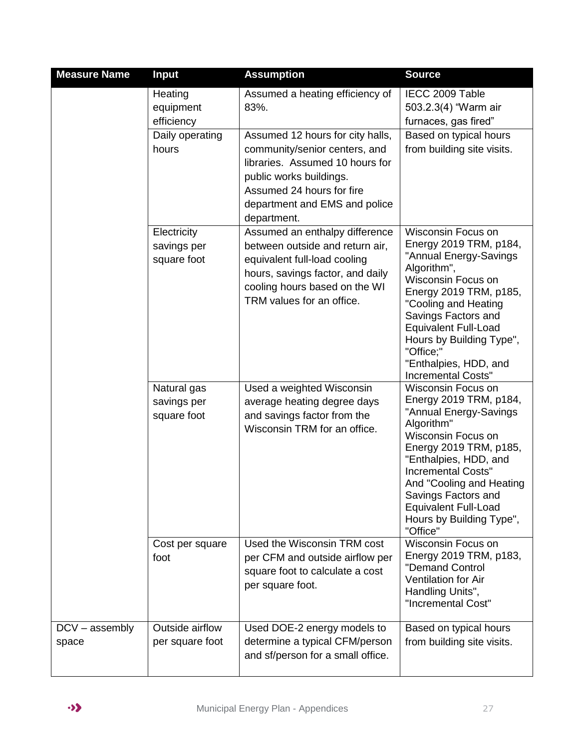| <b>Measure Name</b>       | <b>Input</b>                              | <b>Assumption</b>                                                                                                                                                                                            | <b>Source</b>                                                                                                                                                                                                                                                                                                                    |
|---------------------------|-------------------------------------------|--------------------------------------------------------------------------------------------------------------------------------------------------------------------------------------------------------------|----------------------------------------------------------------------------------------------------------------------------------------------------------------------------------------------------------------------------------------------------------------------------------------------------------------------------------|
|                           | Heating<br>equipment<br>efficiency        | Assumed a heating efficiency of<br>83%.                                                                                                                                                                      | IECC 2009 Table<br>503.2.3(4) "Warm air<br>furnaces, gas fired"                                                                                                                                                                                                                                                                  |
|                           | Daily operating<br>hours                  | Assumed 12 hours for city halls,<br>community/senior centers, and<br>libraries. Assumed 10 hours for<br>public works buildings.<br>Assumed 24 hours for fire<br>department and EMS and police<br>department. | Based on typical hours<br>from building site visits.                                                                                                                                                                                                                                                                             |
|                           | Electricity<br>savings per<br>square foot | Assumed an enthalpy difference<br>between outside and return air,<br>equivalent full-load cooling<br>hours, savings factor, and daily<br>cooling hours based on the WI<br>TRM values for an office.          | <b>Wisconsin Focus on</b><br>Energy 2019 TRM, p184,<br>"Annual Energy-Savings<br>Algorithm",<br><b>Wisconsin Focus on</b><br>Energy 2019 TRM, p185,<br>"Cooling and Heating<br>Savings Factors and<br><b>Equivalent Full-Load</b><br>Hours by Building Type",<br>"Office;"<br>"Enthalpies, HDD, and<br><b>Incremental Costs"</b> |
|                           | Natural gas<br>savings per<br>square foot | Used a weighted Wisconsin<br>average heating degree days<br>and savings factor from the<br>Wisconsin TRM for an office.                                                                                      | Wisconsin Focus on<br>Energy 2019 TRM, p184,<br>"Annual Energy-Savings<br>Algorithm"<br>Wisconsin Focus on<br>Energy 2019 TRM, p185,<br>"Enthalpies, HDD, and<br><b>Incremental Costs"</b><br>And "Cooling and Heating<br>Savings Factors and<br><b>Equivalent Full-Load</b><br>Hours by Building Type",<br>"Office"             |
|                           | Cost per square<br>foot                   | Used the Wisconsin TRM cost<br>per CFM and outside airflow per<br>square foot to calculate a cost<br>per square foot.                                                                                        | <b>Wisconsin Focus on</b><br>Energy 2019 TRM, p183,<br>"Demand Control<br><b>Ventilation for Air</b><br>Handling Units",<br>"Incremental Cost"                                                                                                                                                                                   |
| $DCV - assembly$<br>space | Outside airflow<br>per square foot        | Used DOE-2 energy models to<br>determine a typical CFM/person<br>and sf/person for a small office.                                                                                                           | Based on typical hours<br>from building site visits.                                                                                                                                                                                                                                                                             |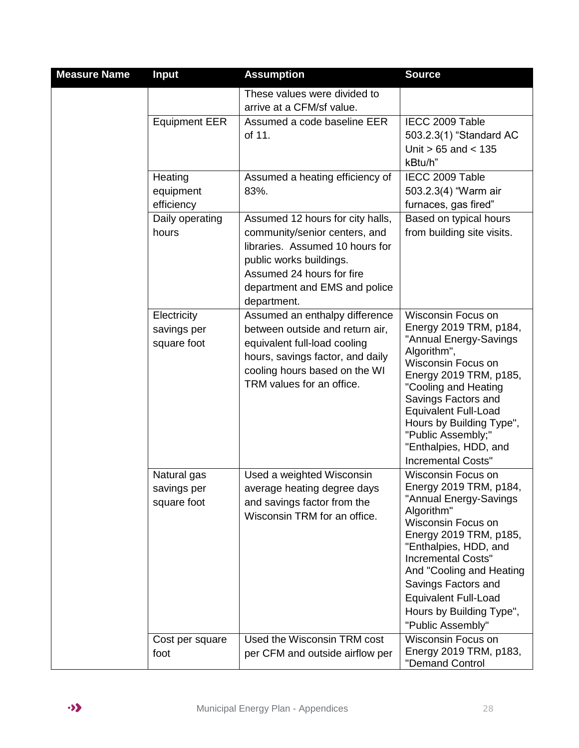| <b>Measure Name</b> | <b>Input</b>                              | <b>Assumption</b>                                                                                                                                                                                            | <b>Source</b>                                                                                                                                                                                                                                                                                                                             |
|---------------------|-------------------------------------------|--------------------------------------------------------------------------------------------------------------------------------------------------------------------------------------------------------------|-------------------------------------------------------------------------------------------------------------------------------------------------------------------------------------------------------------------------------------------------------------------------------------------------------------------------------------------|
|                     |                                           | These values were divided to<br>arrive at a CFM/sf value.                                                                                                                                                    |                                                                                                                                                                                                                                                                                                                                           |
|                     | <b>Equipment EER</b>                      | Assumed a code baseline EER<br>of 11.                                                                                                                                                                        | IECC 2009 Table<br>503.2.3(1) "Standard AC<br>Unit $> 65$ and $< 135$<br>kBtu/h"                                                                                                                                                                                                                                                          |
|                     | Heating<br>equipment<br>efficiency        | Assumed a heating efficiency of<br>83%.                                                                                                                                                                      | IECC 2009 Table<br>503.2.3(4) "Warm air<br>furnaces, gas fired"                                                                                                                                                                                                                                                                           |
|                     | Daily operating<br>hours                  | Assumed 12 hours for city halls,<br>community/senior centers, and<br>libraries. Assumed 10 hours for<br>public works buildings.<br>Assumed 24 hours for fire<br>department and EMS and police<br>department. | Based on typical hours<br>from building site visits.                                                                                                                                                                                                                                                                                      |
|                     | Electricity<br>savings per<br>square foot | Assumed an enthalpy difference<br>between outside and return air,<br>equivalent full-load cooling<br>hours, savings factor, and daily<br>cooling hours based on the WI<br>TRM values for an office.          | <b>Wisconsin Focus on</b><br>Energy 2019 TRM, p184,<br>"Annual Energy-Savings<br>Algorithm",<br><b>Wisconsin Focus on</b><br>Energy 2019 TRM, p185,<br>"Cooling and Heating<br>Savings Factors and<br><b>Equivalent Full-Load</b><br>Hours by Building Type",<br>"Public Assembly;"<br>"Enthalpies, HDD, and<br><b>Incremental Costs"</b> |
|                     | Natural gas<br>savings per<br>square foot | Used a weighted Wisconsin<br>average heating degree days<br>and savings factor from the<br>Wisconsin TRM for an office.                                                                                      | <b>Wisconsin Focus on</b><br>Energy 2019 TRM, p184,<br>"Annual Energy-Savings<br>Algorithm"<br>Wisconsin Focus on<br>Energy 2019 TRM, p185,<br>"Enthalpies, HDD, and<br><b>Incremental Costs"</b><br>And "Cooling and Heating<br>Savings Factors and<br><b>Equivalent Full-Load</b><br>Hours by Building Type",<br>"Public Assembly"      |
|                     | Cost per square<br>foot                   | Used the Wisconsin TRM cost<br>per CFM and outside airflow per                                                                                                                                               | <b>Wisconsin Focus on</b><br>Energy 2019 TRM, p183,                                                                                                                                                                                                                                                                                       |
|                     |                                           |                                                                                                                                                                                                              | "Demand Control                                                                                                                                                                                                                                                                                                                           |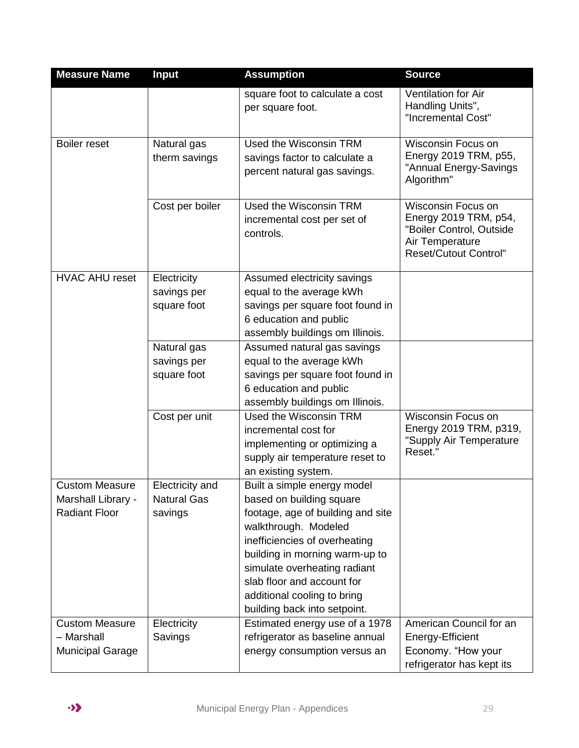| <b>Measure Name</b>                                                 | <b>Input</b>                                     | <b>Assumption</b>                                                                                                                                                                                                                                                                                                    | <b>Source</b>                                                                                                                     |
|---------------------------------------------------------------------|--------------------------------------------------|----------------------------------------------------------------------------------------------------------------------------------------------------------------------------------------------------------------------------------------------------------------------------------------------------------------------|-----------------------------------------------------------------------------------------------------------------------------------|
|                                                                     |                                                  | square foot to calculate a cost<br>per square foot.                                                                                                                                                                                                                                                                  | Ventilation for Air<br>Handling Units",<br>"Incremental Cost"                                                                     |
| <b>Boiler reset</b>                                                 | Natural gas<br>therm savings                     | Used the Wisconsin TRM<br>savings factor to calculate a<br>percent natural gas savings.                                                                                                                                                                                                                              | <b>Wisconsin Focus on</b><br>Energy 2019 TRM, p55,<br>"Annual Energy-Savings<br>Algorithm"                                        |
|                                                                     | Cost per boiler                                  | Used the Wisconsin TRM<br>incremental cost per set of<br>controls.                                                                                                                                                                                                                                                   | <b>Wisconsin Focus on</b><br>Energy 2019 TRM, p54,<br>"Boiler Control, Outside<br>Air Temperature<br><b>Reset/Cutout Control"</b> |
| <b>HVAC AHU reset</b>                                               | Electricity<br>savings per<br>square foot        | Assumed electricity savings<br>equal to the average kWh<br>savings per square foot found in<br>6 education and public<br>assembly buildings om Illinois.                                                                                                                                                             |                                                                                                                                   |
|                                                                     | Natural gas<br>savings per<br>square foot        | Assumed natural gas savings<br>equal to the average kWh<br>savings per square foot found in<br>6 education and public<br>assembly buildings om Illinois.                                                                                                                                                             |                                                                                                                                   |
|                                                                     | Cost per unit                                    | Used the Wisconsin TRM<br>incremental cost for<br>implementing or optimizing a<br>supply air temperature reset to<br>an existing system.                                                                                                                                                                             | Wisconsin Focus on<br>Energy 2019 TRM, p319,<br>"Supply Air Temperature<br>Reset."                                                |
| <b>Custom Measure</b><br>Marshall Library -<br><b>Radiant Floor</b> | Electricity and<br><b>Natural Gas</b><br>savings | Built a simple energy model<br>based on building square<br>footage, age of building and site<br>walkthrough. Modeled<br>inefficiencies of overheating<br>building in morning warm-up to<br>simulate overheating radiant<br>slab floor and account for<br>additional cooling to bring<br>building back into setpoint. |                                                                                                                                   |
| <b>Custom Measure</b><br>- Marshall<br><b>Municipal Garage</b>      | Electricity<br>Savings                           | Estimated energy use of a 1978<br>refrigerator as baseline annual<br>energy consumption versus an                                                                                                                                                                                                                    | American Council for an<br>Energy-Efficient<br>Economy. "How your<br>refrigerator has kept its                                    |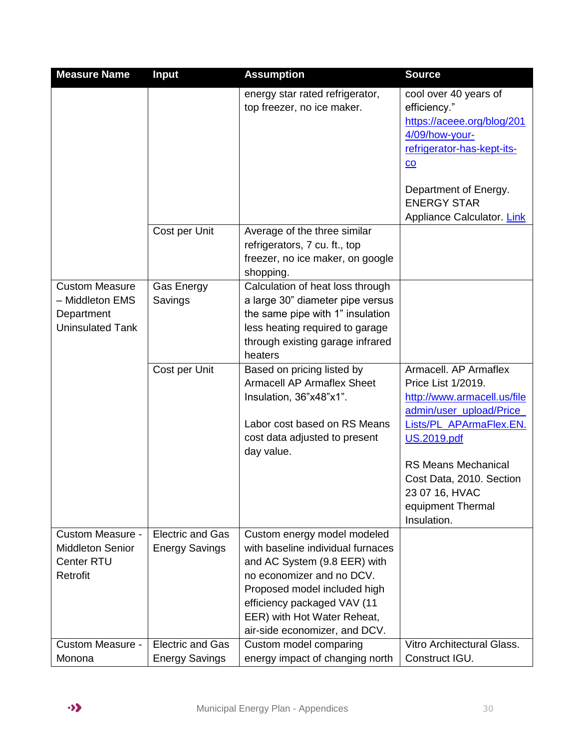| <b>Measure Name</b>                                                               | <b>Input</b>                                     | <b>Assumption</b>                                                                                                                                                                                                                                            | <b>Source</b>                                                                                                                                                                          |
|-----------------------------------------------------------------------------------|--------------------------------------------------|--------------------------------------------------------------------------------------------------------------------------------------------------------------------------------------------------------------------------------------------------------------|----------------------------------------------------------------------------------------------------------------------------------------------------------------------------------------|
|                                                                                   |                                                  | energy star rated refrigerator,<br>top freezer, no ice maker.                                                                                                                                                                                                | cool over 40 years of<br>efficiency."<br>https://aceee.org/blog/201<br>4/09/how-your-<br>refrigerator-has-kept-its-<br>$\underline{co}$<br>Department of Energy.<br><b>ENERGY STAR</b> |
|                                                                                   |                                                  |                                                                                                                                                                                                                                                              | Appliance Calculator. Link                                                                                                                                                             |
|                                                                                   | Cost per Unit                                    | Average of the three similar<br>refrigerators, 7 cu. ft., top<br>freezer, no ice maker, on google<br>shopping.                                                                                                                                               |                                                                                                                                                                                        |
| <b>Custom Measure</b><br>- Middleton EMS<br>Department<br><b>Uninsulated Tank</b> | Gas Energy<br>Savings                            | Calculation of heat loss through<br>a large 30" diameter pipe versus<br>the same pipe with 1" insulation<br>less heating required to garage<br>through existing garage infrared<br>heaters                                                                   |                                                                                                                                                                                        |
|                                                                                   | Cost per Unit                                    | Based on pricing listed by<br><b>Armacell AP Armaflex Sheet</b><br>Insulation, 36"x48"x1".<br>Labor cost based on RS Means<br>cost data adjusted to present<br>day value.                                                                                    | Armacell. AP Armaflex<br>Price List 1/2019.<br>http://www.armacell.us/file<br>admin/user_upload/Price_<br>Lists/PL APArmaFlex.EN.<br><b>US.2019.pdf</b>                                |
|                                                                                   |                                                  |                                                                                                                                                                                                                                                              | <b>RS Means Mechanical</b><br>Cost Data, 2010. Section<br>23 07 16, HVAC<br>equipment Thermal<br>Insulation.                                                                           |
| <b>Custom Measure -</b><br><b>Middleton Senior</b><br>Center RTU<br>Retrofit      | <b>Electric and Gas</b><br><b>Energy Savings</b> | Custom energy model modeled<br>with baseline individual furnaces<br>and AC System (9.8 EER) with<br>no economizer and no DCV.<br>Proposed model included high<br>efficiency packaged VAV (11<br>EER) with Hot Water Reheat,<br>air-side economizer, and DCV. |                                                                                                                                                                                        |
| <b>Custom Measure -</b><br>Monona                                                 | <b>Electric and Gas</b><br><b>Energy Savings</b> | Custom model comparing<br>energy impact of changing north                                                                                                                                                                                                    | Vitro Architectural Glass.<br>Construct IGU.                                                                                                                                           |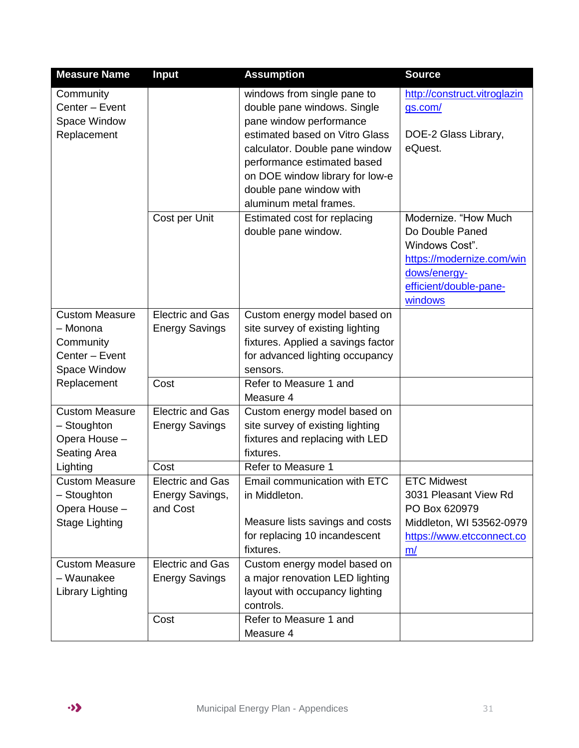| <b>Measure Name</b>      | <b>Input</b>            | <b>Assumption</b>                  | <b>Source</b>                |
|--------------------------|-------------------------|------------------------------------|------------------------------|
| Community                |                         | windows from single pane to        | http://construct.vitroglazin |
| Center - Event           |                         | double pane windows. Single        | gs.com/                      |
| Space Window             |                         | pane window performance            |                              |
| Replacement              |                         | estimated based on Vitro Glass     | DOE-2 Glass Library,         |
|                          |                         | calculator. Double pane window     | eQuest.                      |
|                          |                         | performance estimated based        |                              |
|                          |                         | on DOE window library for low-e    |                              |
|                          |                         | double pane window with            |                              |
|                          |                         | aluminum metal frames.             |                              |
|                          | Cost per Unit           | Estimated cost for replacing       | Modernize, "How Much         |
|                          |                         | double pane window.                | Do Double Paned              |
|                          |                         |                                    | Windows Cost".               |
|                          |                         |                                    | https://modernize.com/win    |
|                          |                         |                                    | dows/energy-                 |
|                          |                         |                                    | efficient/double-pane-       |
|                          |                         |                                    | windows                      |
| <b>Custom Measure</b>    | <b>Electric and Gas</b> | Custom energy model based on       |                              |
| - Monona                 | <b>Energy Savings</b>   | site survey of existing lighting   |                              |
| Community                |                         | fixtures. Applied a savings factor |                              |
| Center - Event           |                         | for advanced lighting occupancy    |                              |
| Space Window             |                         | sensors.                           |                              |
| Replacement              | Cost                    | Refer to Measure 1 and             |                              |
|                          |                         | Measure 4                          |                              |
| <b>Custom Measure</b>    | <b>Electric and Gas</b> | Custom energy model based on       |                              |
| - Stoughton              | <b>Energy Savings</b>   | site survey of existing lighting   |                              |
| Opera House -            |                         | fixtures and replacing with LED    |                              |
| Seating Area<br>Lighting | Cost                    | fixtures.<br>Refer to Measure 1    |                              |
| <b>Custom Measure</b>    | <b>Electric and Gas</b> | Email communication with ETC       | <b>ETC Midwest</b>           |
| - Stoughton              | Energy Savings,         | in Middleton.                      | 3031 Pleasant View Rd        |
| Opera House -            | and Cost                |                                    | PO Box 620979                |
| <b>Stage Lighting</b>    |                         | Measure lists savings and costs    | Middleton, WI 53562-0979     |
|                          |                         | for replacing 10 incandescent      | https://www.etcconnect.co    |
|                          |                         | fixtures.                          | m/                           |
| <b>Custom Measure</b>    | <b>Electric and Gas</b> | Custom energy model based on       |                              |
| - Waunakee               | <b>Energy Savings</b>   | a major renovation LED lighting    |                              |
| Library Lighting         |                         | layout with occupancy lighting     |                              |
|                          |                         | controls.                          |                              |
|                          | Cost                    | Refer to Measure 1 and             |                              |
|                          |                         | Measure 4                          |                              |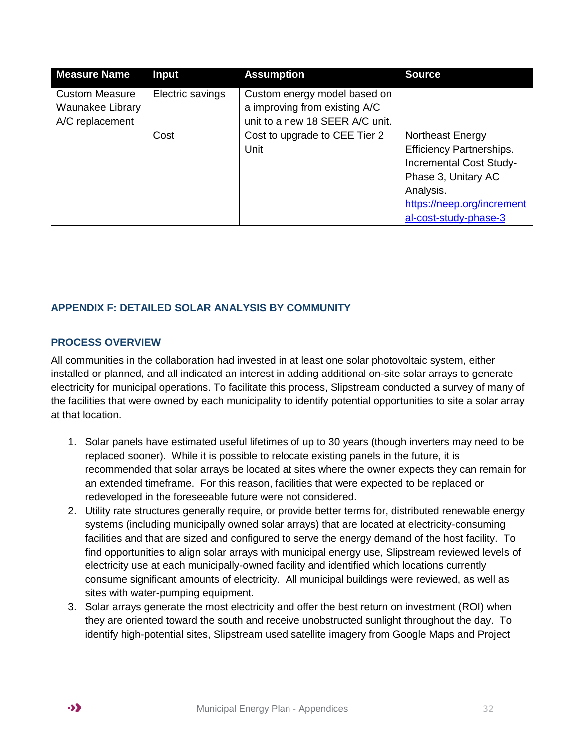| <b>Measure Name</b>                                          | <b>Input</b>     | <b>Assumption</b>                                                                                | <b>Source</b>                                                                                                                                                                    |
|--------------------------------------------------------------|------------------|--------------------------------------------------------------------------------------------------|----------------------------------------------------------------------------------------------------------------------------------------------------------------------------------|
| <b>Custom Measure</b><br>Waunakee Library<br>A/C replacement | Electric savings | Custom energy model based on<br>a improving from existing A/C<br>unit to a new 18 SEER A/C unit. |                                                                                                                                                                                  |
|                                                              | Cost             | Cost to upgrade to CEE Tier 2<br>Unit                                                            | Northeast Energy<br><b>Efficiency Partnerships.</b><br><b>Incremental Cost Study-</b><br>Phase 3, Unitary AC<br>Analysis.<br>https://neep.org/increment<br>al-cost-study-phase-3 |

#### <span id="page-31-0"></span>**APPENDIX F: DETAILED SOLAR ANALYSIS BY COMMUNITY**

#### <span id="page-31-1"></span>**PROCESS OVERVIEW**

All communities in the collaboration had invested in at least one solar photovoltaic system, either installed or planned, and all indicated an interest in adding additional on-site solar arrays to generate electricity for municipal operations. To facilitate this process, Slipstream conducted a survey of many of the facilities that were owned by each municipality to identify potential opportunities to site a solar array at that location.

- 1. Solar panels have estimated useful lifetimes of up to 30 years (though inverters may need to be replaced sooner). While it is possible to relocate existing panels in the future, it is recommended that solar arrays be located at sites where the owner expects they can remain for an extended timeframe. For this reason, facilities that were expected to be replaced or redeveloped in the foreseeable future were not considered.
- 2. Utility rate structures generally require, or provide better terms for, distributed renewable energy systems (including municipally owned solar arrays) that are located at electricity-consuming facilities and that are sized and configured to serve the energy demand of the host facility. To find opportunities to align solar arrays with municipal energy use, Slipstream reviewed levels of electricity use at each municipally-owned facility and identified which locations currently consume significant amounts of electricity. All municipal buildings were reviewed, as well as sites with water-pumping equipment.
- 3. Solar arrays generate the most electricity and offer the best return on investment (ROI) when they are oriented toward the south and receive unobstructed sunlight throughout the day. To identify high-potential sites, Slipstream used satellite imagery from Google Maps and Project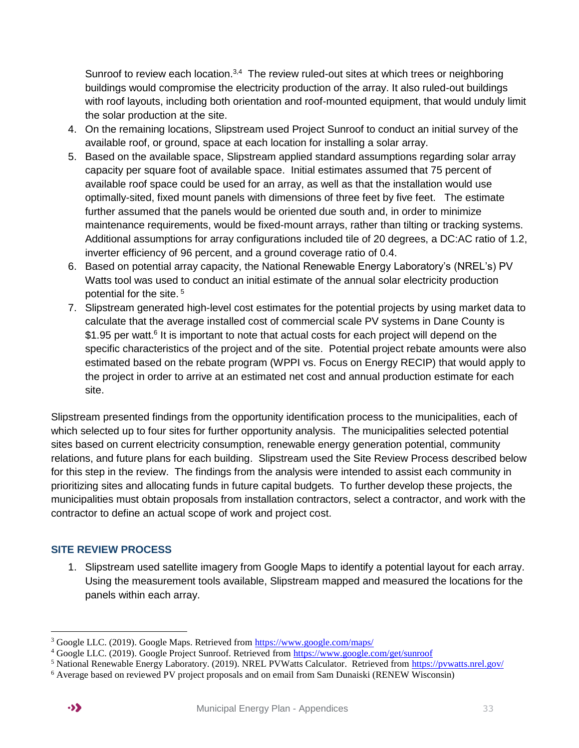Sunroof to review each location.<sup>3,4</sup> The review ruled-out sites at which trees or neighboring buildings would compromise the electricity production of the array. It also ruled-out buildings with roof layouts, including both orientation and roof-mounted equipment, that would unduly limit the solar production at the site.

- 4. On the remaining locations, Slipstream used Project Sunroof to conduct an initial survey of the available roof, or ground, space at each location for installing a solar array.
- 5. Based on the available space, Slipstream applied standard assumptions regarding solar array capacity per square foot of available space. Initial estimates assumed that 75 percent of available roof space could be used for an array, as well as that the installation would use optimally-sited, fixed mount panels with dimensions of three feet by five feet. The estimate further assumed that the panels would be oriented due south and, in order to minimize maintenance requirements, would be fixed-mount arrays, rather than tilting or tracking systems. Additional assumptions for array configurations included tile of 20 degrees, a DC:AC ratio of 1.2, inverter efficiency of 96 percent, and a ground coverage ratio of 0.4.
- 6. Based on potential array capacity, the National Renewable Energy Laboratory's (NREL's) PV Watts tool was used to conduct an initial estimate of the annual solar electricity production potential for the site.<sup>5</sup>
- 7. Slipstream generated high-level cost estimates for the potential projects by using market data to calculate that the average installed cost of commercial scale PV systems in Dane County is \$1.95 per watt.<sup>6</sup> It is important to note that actual costs for each project will depend on the specific characteristics of the project and of the site. Potential project rebate amounts were also estimated based on the rebate program (WPPI vs. Focus on Energy RECIP) that would apply to the project in order to arrive at an estimated net cost and annual production estimate for each site.

Slipstream presented findings from the opportunity identification process to the municipalities, each of which selected up to four sites for further opportunity analysis. The municipalities selected potential sites based on current electricity consumption, renewable energy generation potential, community relations, and future plans for each building. Slipstream used the Site Review Process described below for this step in the review. The findings from the analysis were intended to assist each community in prioritizing sites and allocating funds in future capital budgets. To further develop these projects, the municipalities must obtain proposals from installation contractors, select a contractor, and work with the contractor to define an actual scope of work and project cost.

#### <span id="page-32-0"></span>**SITE REVIEW PROCESS**

1. Slipstream used satellite imagery from Google Maps to identify a potential layout for each array. Using the measurement tools available, Slipstream mapped and measured the locations for the panels within each array.

 $\overline{a}$ <sup>3</sup> Google LLC. (2019). Google Maps. Retrieved from<https://www.google.com/maps/>

<sup>4</sup> Google LLC. (2019). Google Project Sunroof. Retrieved from<https://www.google.com/get/sunroof>

<sup>5</sup> National Renewable Energy Laboratory. (2019). NREL PVWatts Calculator. Retrieved from<https://pvwatts.nrel.gov/>

<sup>6</sup> Average based on reviewed PV project proposals and on email from Sam Dunaiski (RENEW Wisconsin)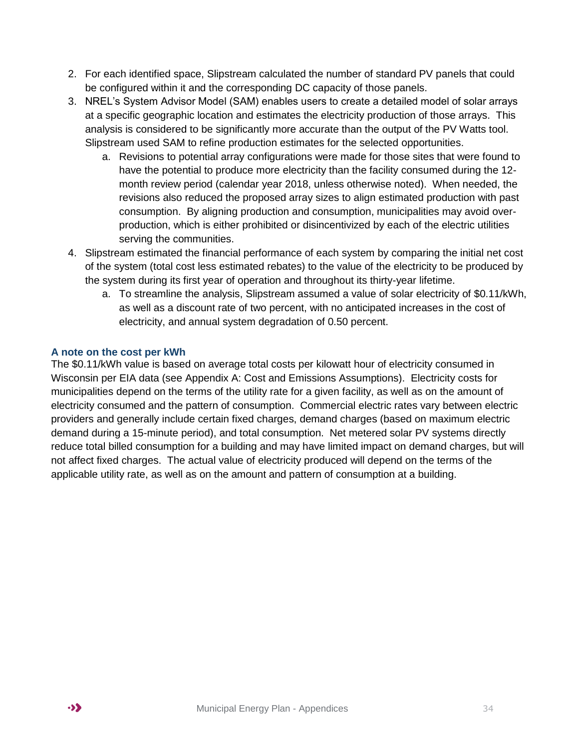- 2. For each identified space, Slipstream calculated the number of standard PV panels that could be configured within it and the corresponding DC capacity of those panels.
- 3. NREL's System Advisor Model (SAM) enables users to create a detailed model of solar arrays at a specific geographic location and estimates the electricity production of those arrays. This analysis is considered to be significantly more accurate than the output of the PV Watts tool. Slipstream used SAM to refine production estimates for the selected opportunities.
	- a. Revisions to potential array configurations were made for those sites that were found to have the potential to produce more electricity than the facility consumed during the 12 month review period (calendar year 2018, unless otherwise noted). When needed, the revisions also reduced the proposed array sizes to align estimated production with past consumption. By aligning production and consumption, municipalities may avoid overproduction, which is either prohibited or disincentivized by each of the electric utilities serving the communities.
- 4. Slipstream estimated the financial performance of each system by comparing the initial net cost of the system (total cost less estimated rebates) to the value of the electricity to be produced by the system during its first year of operation and throughout its thirty-year lifetime.
	- a. To streamline the analysis, Slipstream assumed a value of solar electricity of \$0.11/kWh, as well as a discount rate of two percent, with no anticipated increases in the cost of electricity, and annual system degradation of 0.50 percent.

#### <span id="page-33-0"></span>**A note on the cost per kWh**

<span id="page-33-1"></span>The \$0.11/kWh value is based on average total costs per kilowatt hour of electricity consumed in Wisconsin per EIA data (see Appendix A: Cost and Emissions Assumptions). Electricity costs for municipalities depend on the terms of the utility rate for a given facility, as well as on the amount of electricity consumed and the pattern of consumption. Commercial electric rates vary between electric providers and generally include certain fixed charges, demand charges (based on maximum electric demand during a 15-minute period), and total consumption. Net metered solar PV systems directly reduce total billed consumption for a building and may have limited impact on demand charges, but will not affect fixed charges. The actual value of electricity produced will depend on the terms of the applicable utility rate, as well as on the amount and pattern of consumption at a building.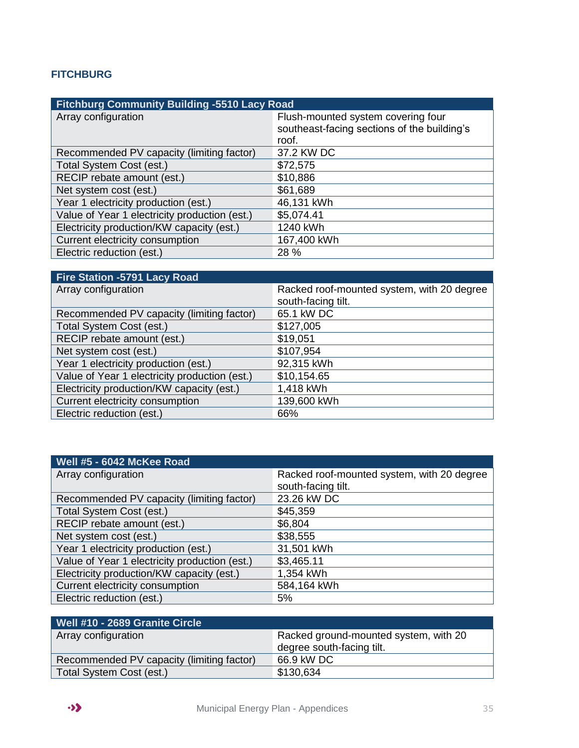#### **FITCHBURG**

| <b>Fitchburg Community Building -5510 Lacy Road</b> |                                             |  |
|-----------------------------------------------------|---------------------------------------------|--|
| Array configuration                                 | Flush-mounted system covering four          |  |
|                                                     | southeast-facing sections of the building's |  |
|                                                     | roof.                                       |  |
| Recommended PV capacity (limiting factor)           | 37.2 KW DC                                  |  |
| Total System Cost (est.)                            | \$72,575                                    |  |
| RECIP rebate amount (est.)                          | \$10,886                                    |  |
| Net system cost (est.)                              | \$61,689                                    |  |
| Year 1 electricity production (est.)                | 46,131 kWh                                  |  |
| Value of Year 1 electricity production (est.)       | \$5,074.41                                  |  |
| Electricity production/KW capacity (est.)           | 1240 kWh                                    |  |
| Current electricity consumption                     | 167,400 kWh                                 |  |
| Electric reduction (est.)                           | 28 %                                        |  |

| <b>Fire Station -5791 Lacy Road</b>           |                                            |
|-----------------------------------------------|--------------------------------------------|
| Array configuration                           | Racked roof-mounted system, with 20 degree |
|                                               | south-facing tilt.                         |
| Recommended PV capacity (limiting factor)     | 65.1 kW DC                                 |
| Total System Cost (est.)                      | \$127,005                                  |
| RECIP rebate amount (est.)                    | \$19,051                                   |
| Net system cost (est.)                        | \$107,954                                  |
| Year 1 electricity production (est.)          | 92,315 kWh                                 |
| Value of Year 1 electricity production (est.) | \$10,154.65                                |
| Electricity production/KW capacity (est.)     | 1,418 kWh                                  |
| Current electricity consumption               | 139,600 kWh                                |
| Electric reduction (est.)                     | 66%                                        |

| Well #5 - 6042 McKee Road                     |                                            |
|-----------------------------------------------|--------------------------------------------|
| Array configuration                           | Racked roof-mounted system, with 20 degree |
|                                               | south-facing tilt.                         |
| Recommended PV capacity (limiting factor)     | 23.26 kW DC                                |
| Total System Cost (est.)                      | \$45,359                                   |
| RECIP rebate amount (est.)                    | \$6,804                                    |
| Net system cost (est.)                        | \$38,555                                   |
| Year 1 electricity production (est.)          | 31,501 kWh                                 |
| Value of Year 1 electricity production (est.) | \$3,465.11                                 |
| Electricity production/KW capacity (est.)     | 1,354 kWh                                  |
| Current electricity consumption               | 584,164 kWh                                |
| Electric reduction (est.)                     | 5%                                         |

| Racked ground-mounted system, with 20 |
|---------------------------------------|
| degree south-facing tilt.             |
| 66.9 kW DC                            |
| \$130,634                             |
|                                       |

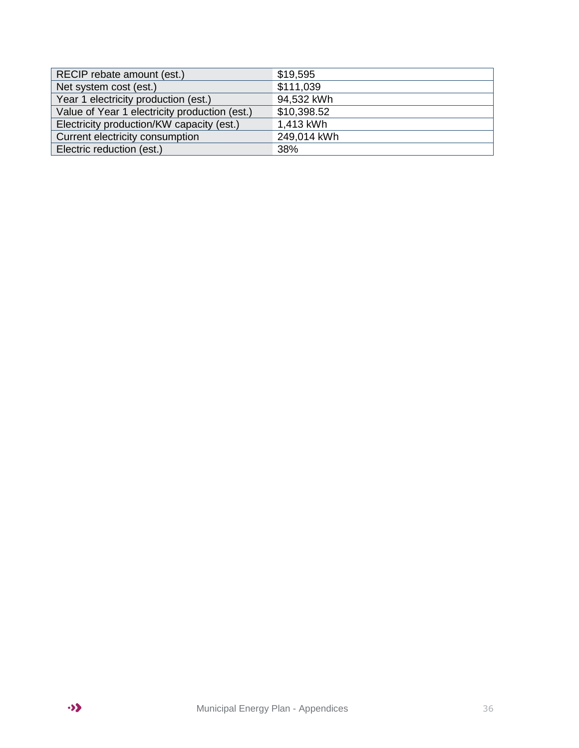<span id="page-35-0"></span>

| RECIP rebate amount (est.)                    | \$19,595    |
|-----------------------------------------------|-------------|
| Net system cost (est.)                        | \$111,039   |
| Year 1 electricity production (est.)          | 94,532 kWh  |
| Value of Year 1 electricity production (est.) | \$10,398.52 |
| Electricity production/KW capacity (est.)     | 1,413 kWh   |
| Current electricity consumption               | 249,014 kWh |
| Electric reduction (est.)                     | 38%         |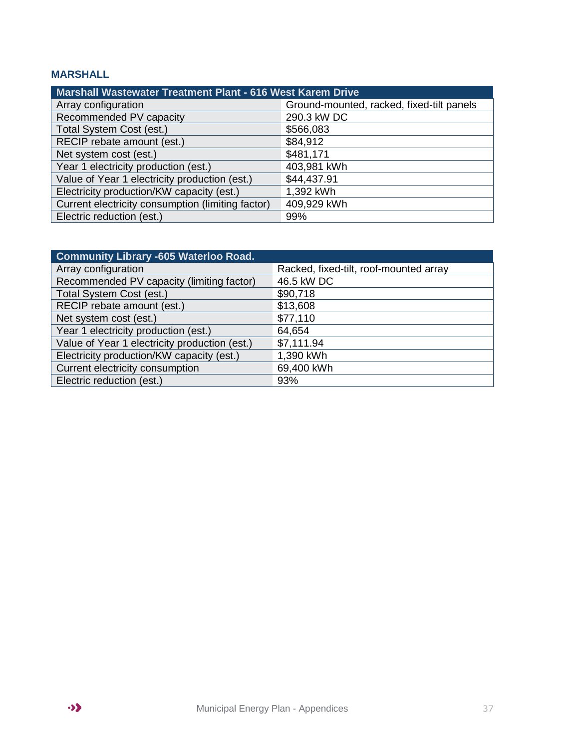#### **MARSHALL**

| <b>Marshall Wastewater Treatment Plant - 616 West Karem Drive</b> |                                           |  |
|-------------------------------------------------------------------|-------------------------------------------|--|
| Array configuration                                               | Ground-mounted, racked, fixed-tilt panels |  |
| Recommended PV capacity                                           | 290.3 kW DC                               |  |
| Total System Cost (est.)                                          | \$566,083                                 |  |
| RECIP rebate amount (est.)                                        | \$84,912                                  |  |
| Net system cost (est.)                                            | \$481,171                                 |  |
| Year 1 electricity production (est.)                              | 403,981 kWh                               |  |
| Value of Year 1 electricity production (est.)                     | \$44,437.91                               |  |
| Electricity production/KW capacity (est.)                         | 1,392 kWh                                 |  |
| Current electricity consumption (limiting factor)                 | 409,929 kWh                               |  |
| Electric reduction (est.)                                         | 99%                                       |  |

<span id="page-36-0"></span>

| <b>Community Library -605 Waterloo Road.</b>  |                                        |
|-----------------------------------------------|----------------------------------------|
| Array configuration                           | Racked, fixed-tilt, roof-mounted array |
| Recommended PV capacity (limiting factor)     | 46.5 kW DC                             |
| Total System Cost (est.)                      | \$90,718                               |
| RECIP rebate amount (est.)                    | \$13,608                               |
| Net system cost (est.)                        | \$77,110                               |
| Year 1 electricity production (est.)          | 64,654                                 |
| Value of Year 1 electricity production (est.) | \$7,111.94                             |
| Electricity production/KW capacity (est.)     | 1,390 kWh                              |
| Current electricity consumption               | 69,400 kWh                             |
| Electric reduction (est.)                     | 93%                                    |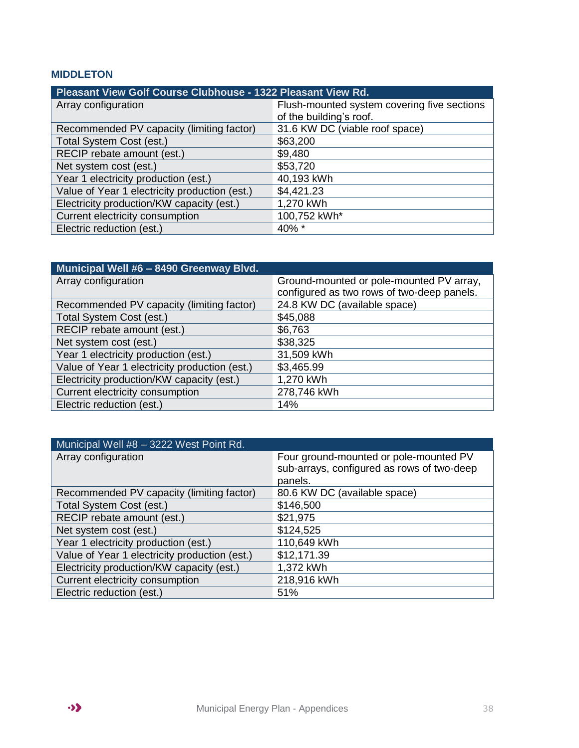#### **MIDDLETON**

| Pleasant View Golf Course Clubhouse - 1322 Pleasant View Rd. |                                             |  |
|--------------------------------------------------------------|---------------------------------------------|--|
| Array configuration                                          | Flush-mounted system covering five sections |  |
|                                                              | of the building's roof.                     |  |
| Recommended PV capacity (limiting factor)                    | 31.6 KW DC (viable roof space)              |  |
| Total System Cost (est.)                                     | \$63,200                                    |  |
| RECIP rebate amount (est.)                                   | \$9,480                                     |  |
| Net system cost (est.)                                       | \$53,720                                    |  |
| Year 1 electricity production (est.)                         | 40,193 kWh                                  |  |
| Value of Year 1 electricity production (est.)                | \$4,421.23                                  |  |
| Electricity production/KW capacity (est.)                    | 1,270 kWh                                   |  |
| Current electricity consumption                              | 100,752 kWh*                                |  |
| Electric reduction (est.)                                    | 40% *                                       |  |

| Municipal Well #6 - 8490 Greenway Blvd.       |                                            |
|-----------------------------------------------|--------------------------------------------|
| Array configuration                           | Ground-mounted or pole-mounted PV array,   |
|                                               | configured as two rows of two-deep panels. |
| Recommended PV capacity (limiting factor)     | 24.8 KW DC (available space)               |
| Total System Cost (est.)                      | \$45,088                                   |
| RECIP rebate amount (est.)                    | \$6,763                                    |
| Net system cost (est.)                        | \$38,325                                   |
| Year 1 electricity production (est.)          | 31,509 kWh                                 |
| Value of Year 1 electricity production (est.) | \$3,465.99                                 |
| Electricity production/KW capacity (est.)     | 1,270 kWh                                  |
| Current electricity consumption               | 278,746 kWh                                |
| Electric reduction (est.)                     | 14%                                        |

<span id="page-37-0"></span>

| Municipal Well #8 - 3222 West Point Rd.       |                                                                                                 |
|-----------------------------------------------|-------------------------------------------------------------------------------------------------|
| Array configuration                           | Four ground-mounted or pole-mounted PV<br>sub-arrays, configured as rows of two-deep<br>panels. |
| Recommended PV capacity (limiting factor)     | 80.6 KW DC (available space)                                                                    |
| Total System Cost (est.)                      | \$146,500                                                                                       |
| RECIP rebate amount (est.)                    | \$21,975                                                                                        |
| Net system cost (est.)                        | \$124,525                                                                                       |
| Year 1 electricity production (est.)          | 110,649 kWh                                                                                     |
| Value of Year 1 electricity production (est.) | \$12,171.39                                                                                     |
| Electricity production/KW capacity (est.)     | 1,372 kWh                                                                                       |
| Current electricity consumption               | 218,916 kWh                                                                                     |
| Electric reduction (est.)                     | 51%                                                                                             |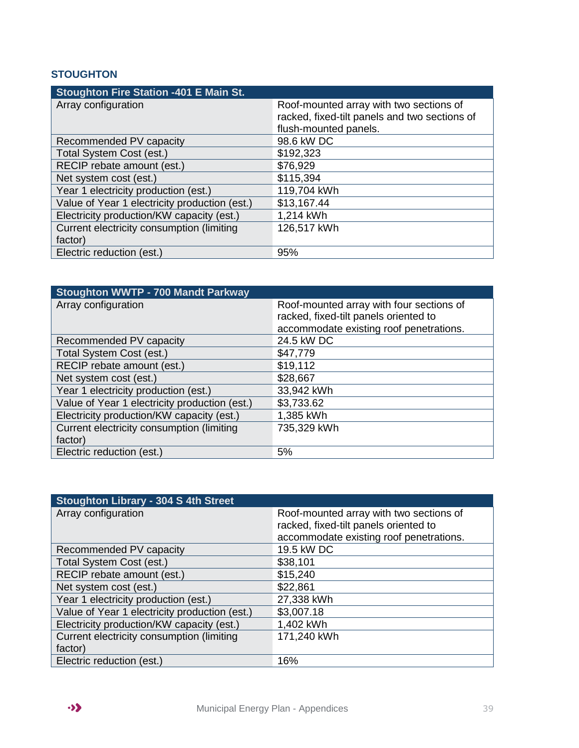#### **STOUGHTON**

| <b>Stoughton Fire Station -401 E Main St.</b> |                                               |
|-----------------------------------------------|-----------------------------------------------|
| Array configuration                           | Roof-mounted array with two sections of       |
|                                               | racked, fixed-tilt panels and two sections of |
|                                               | flush-mounted panels.                         |
| Recommended PV capacity                       | 98.6 kW DC                                    |
| Total System Cost (est.)                      | \$192,323                                     |
| RECIP rebate amount (est.)                    | \$76,929                                      |
| Net system cost (est.)                        | \$115,394                                     |
| Year 1 electricity production (est.)          | 119,704 kWh                                   |
| Value of Year 1 electricity production (est.) | \$13,167.44                                   |
| Electricity production/KW capacity (est.)     | 1,214 kWh                                     |
| Current electricity consumption (limiting     | 126,517 kWh                                   |
| factor)                                       |                                               |
| Electric reduction (est.)                     | 95%                                           |

| <b>Stoughton WWTP - 700 Mandt Parkway</b>     |                                          |
|-----------------------------------------------|------------------------------------------|
| Array configuration                           | Roof-mounted array with four sections of |
|                                               | racked, fixed-tilt panels oriented to    |
|                                               | accommodate existing roof penetrations.  |
| Recommended PV capacity                       | 24.5 kW DC                               |
| Total System Cost (est.)                      | \$47,779                                 |
| RECIP rebate amount (est.)                    | \$19,112                                 |
| Net system cost (est.)                        | \$28,667                                 |
| Year 1 electricity production (est.)          | 33,942 kWh                               |
| Value of Year 1 electricity production (est.) | \$3,733.62                               |
| Electricity production/KW capacity (est.)     | 1,385 kWh                                |
| Current electricity consumption (limiting     | 735,329 kWh                              |
| factor)                                       |                                          |
| Electric reduction (est.)                     | 5%                                       |

| Stoughton Library - 304 S 4th Street          |                                         |
|-----------------------------------------------|-----------------------------------------|
| Array configuration                           | Roof-mounted array with two sections of |
|                                               | racked, fixed-tilt panels oriented to   |
|                                               | accommodate existing roof penetrations. |
| Recommended PV capacity                       | 19.5 kW DC                              |
| Total System Cost (est.)                      | \$38,101                                |
| RECIP rebate amount (est.)                    | \$15,240                                |
| Net system cost (est.)                        | \$22,861                                |
| Year 1 electricity production (est.)          | 27,338 kWh                              |
| Value of Year 1 electricity production (est.) | \$3,007.18                              |
| Electricity production/KW capacity (est.)     | 1,402 kWh                               |
| Current electricity consumption (limiting     | 171,240 kWh                             |
| factor)                                       |                                         |
| Electric reduction (est.)                     | 16%                                     |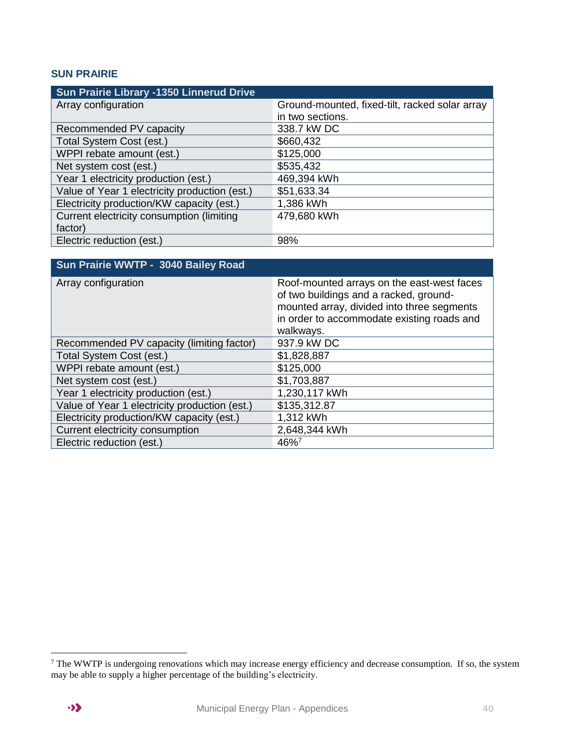#### <span id="page-39-0"></span>**SUN PRAIRIE**

| Sun Prairie Library -1350 Linnerud Drive      |                                                |
|-----------------------------------------------|------------------------------------------------|
| Array configuration                           | Ground-mounted, fixed-tilt, racked solar array |
|                                               | in two sections.                               |
| Recommended PV capacity                       | 338.7 kW DC                                    |
| Total System Cost (est.)                      | \$660,432                                      |
| WPPI rebate amount (est.)                     | \$125,000                                      |
| Net system cost (est.)                        | \$535,432                                      |
| Year 1 electricity production (est.)          | 469,394 kWh                                    |
| Value of Year 1 electricity production (est.) | \$51,633.34                                    |
| Electricity production/KW capacity (est.)     | 1,386 kWh                                      |
| Current electricity consumption (limiting     | 479,680 kWh                                    |
| factor)                                       |                                                |
| Electric reduction (est.)                     | 98%                                            |

<span id="page-39-1"></span>

| Sun Prairie WWTP - 3040 Bailey Road           |                                                                                                                                                                                               |
|-----------------------------------------------|-----------------------------------------------------------------------------------------------------------------------------------------------------------------------------------------------|
| Array configuration                           | Roof-mounted arrays on the east-west faces<br>of two buildings and a racked, ground-<br>mounted array, divided into three segments<br>in order to accommodate existing roads and<br>walkways. |
| Recommended PV capacity (limiting factor)     | 937.9 kW DC                                                                                                                                                                                   |
| Total System Cost (est.)                      | \$1,828,887                                                                                                                                                                                   |
| WPPI rebate amount (est.)                     | \$125,000                                                                                                                                                                                     |
| Net system cost (est.)                        | \$1,703,887                                                                                                                                                                                   |
| Year 1 electricity production (est.)          | 1,230,117 kWh                                                                                                                                                                                 |
| Value of Year 1 electricity production (est.) | \$135,312.87                                                                                                                                                                                  |
| Electricity production/KW capacity (est.)     | 1,312 kWh                                                                                                                                                                                     |
| Current electricity consumption               | 2,648,344 kWh                                                                                                                                                                                 |
| Electric reduction (est.)                     | 46%7                                                                                                                                                                                          |

 $\overline{a}$ 

 $7$  The WWTP is undergoing renovations which may increase energy efficiency and decrease consumption. If so, the system may be able to supply a higher percentage of the building's electricity.